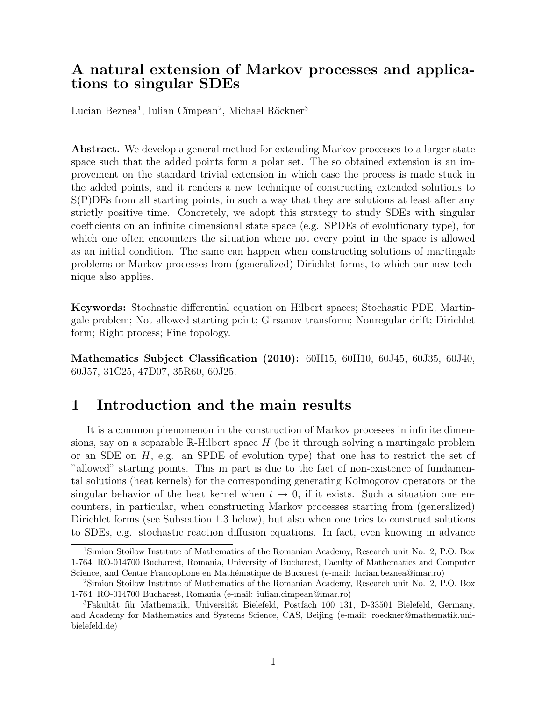# A natural extension of Markov processes and applications to singular SDEs

Lucian Beznea<sup>1</sup>, Iulian Cîmpean<sup>2</sup>, Michael Röckner<sup>3</sup>

Abstract. We develop a general method for extending Markov processes to a larger state space such that the added points form a polar set. The so obtained extension is an improvement on the standard trivial extension in which case the process is made stuck in the added points, and it renders a new technique of constructing extended solutions to S(P)DEs from all starting points, in such a way that they are solutions at least after any strictly positive time. Concretely, we adopt this strategy to study SDEs with singular coefficients on an infinite dimensional state space (e.g. SPDEs of evolutionary type), for which one often encounters the situation where not every point in the space is allowed as an initial condition. The same can happen when constructing solutions of martingale problems or Markov processes from (generalized) Dirichlet forms, to which our new technique also applies.

Keywords: Stochastic differential equation on Hilbert spaces; Stochastic PDE; Martingale problem; Not allowed starting point; Girsanov transform; Nonregular drift; Dirichlet form; Right process; Fine topology.

Mathematics Subject Classification (2010): 60H15, 60H10, 60J45, 60J35, 60J40, 60J57, 31C25, 47D07, 35R60, 60J25.

# 1 Introduction and the main results

It is a common phenomenon in the construction of Markov processes in infinite dimensions, say on a separable R-Hilbert space  $H$  (be it through solving a martingale problem or an SDE on  $H$ , e.g. an SPDE of evolution type) that one has to restrict the set of "allowed" starting points. This in part is due to the fact of non-existence of fundamental solutions (heat kernels) for the corresponding generating Kolmogorov operators or the singular behavior of the heat kernel when  $t \to 0$ , if it exists. Such a situation one encounters, in particular, when constructing Markov processes starting from (generalized) Dirichlet forms (see Subsection 1.3 below), but also when one tries to construct solutions to SDEs, e.g. stochastic reaction diffusion equations. In fact, even knowing in advance

<sup>1</sup>Simion Stoilow Institute of Mathematics of the Romanian Academy, Research unit No. 2, P.O. Box 1-764, RO-014700 Bucharest, Romania, University of Bucharest, Faculty of Mathematics and Computer Science, and Centre Francophone en Mathématique de Bucarest (e-mail: lucian.beznea@imar.ro)

<sup>2</sup>Simion Stoilow Institute of Mathematics of the Romanian Academy, Research unit No. 2, P.O. Box 1-764, RO-014700 Bucharest, Romania (e-mail: iulian.cimpean@imar.ro)

 ${}^{3}$ Fakultät für Mathematik, Universität Bielefeld, Postfach 100 131, D-33501 Bielefeld, Germany, and Academy for Mathematics and Systems Science, CAS, Beijing (e-mail: roeckner@mathematik.unibielefeld.de)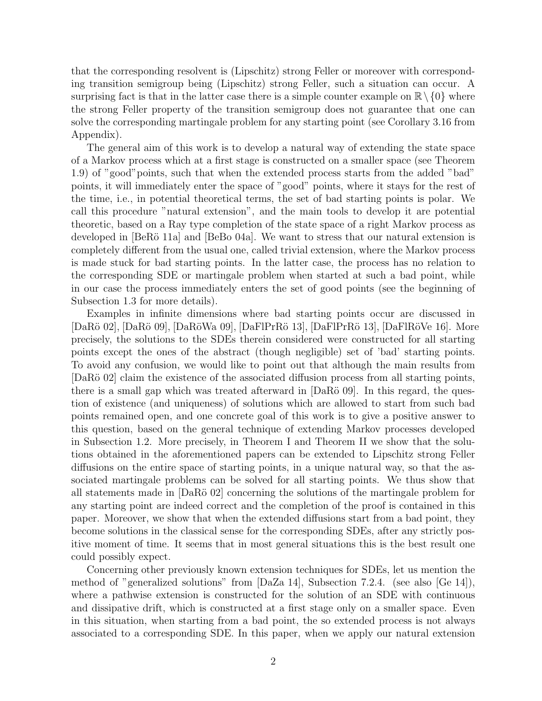that the corresponding resolvent is (Lipschitz) strong Feller or moreover with corresponding transition semigroup being (Lipschitz) strong Feller, such a situation can occur. A surprising fact is that in the latter case there is a simple counter example on  $\mathbb{R}\setminus\{0\}$  where the strong Feller property of the transition semigroup does not guarantee that one can solve the corresponding martingale problem for any starting point (see Corollary 3.16 from Appendix).

The general aim of this work is to develop a natural way of extending the state space of a Markov process which at a first stage is constructed on a smaller space (see Theorem 1.9) of "good"points, such that when the extended process starts from the added "bad" points, it will immediately enter the space of "good" points, where it stays for the rest of the time, i.e., in potential theoretical terms, the set of bad starting points is polar. We call this procedure "natural extension", and the main tools to develop it are potential theoretic, based on a Ray type completion of the state space of a right Markov process as developed in  $\lceil \text{BeRö 11a} \rceil$  and  $\lceil \text{BeBo 04a} \rceil$ . We want to stress that our natural extension is completely different from the usual one, called trivial extension, where the Markov process is made stuck for bad starting points. In the latter case, the process has no relation to the corresponding SDE or martingale problem when started at such a bad point, while in our case the process immediately enters the set of good points (see the beginning of Subsection 1.3 for more details).

Examples in infinite dimensions where bad starting points occur are discussed in [DaRö 02], [DaRö 09], [DaRöWa 09], [DaFlPrRö 13], [DaFlPrRö 13], [DaFlRöVe 16]. More precisely, the solutions to the SDEs therein considered were constructed for all starting points except the ones of the abstract (though negligible) set of 'bad' starting points. To avoid any confusion, we would like to point out that although the main results from [DaRö 02] claim the existence of the associated diffusion process from all starting points, there is a small gap which was treated afterward in  $[DaRö 09]$ . In this regard, the question of existence (and uniqueness) of solutions which are allowed to start from such bad points remained open, and one concrete goal of this work is to give a positive answer to this question, based on the general technique of extending Markov processes developed in Subsection 1.2. More precisely, in Theorem I and Theorem II we show that the solutions obtained in the aforementioned papers can be extended to Lipschitz strong Feller diffusions on the entire space of starting points, in a unique natural way, so that the associated martingale problems can be solved for all starting points. We thus show that all statements made in  $[DaRö 02]$  concerning the solutions of the martingale problem for any starting point are indeed correct and the completion of the proof is contained in this paper. Moreover, we show that when the extended diffusions start from a bad point, they become solutions in the classical sense for the corresponding SDEs, after any strictly positive moment of time. It seems that in most general situations this is the best result one could possibly expect.

Concerning other previously known extension techniques for SDEs, let us mention the method of "generalized solutions" from [DaZa 14], Subsection 7.2.4. (see also [Ge 14]), where a pathwise extension is constructed for the solution of an SDE with continuous and dissipative drift, which is constructed at a first stage only on a smaller space. Even in this situation, when starting from a bad point, the so extended process is not always associated to a corresponding SDE. In this paper, when we apply our natural extension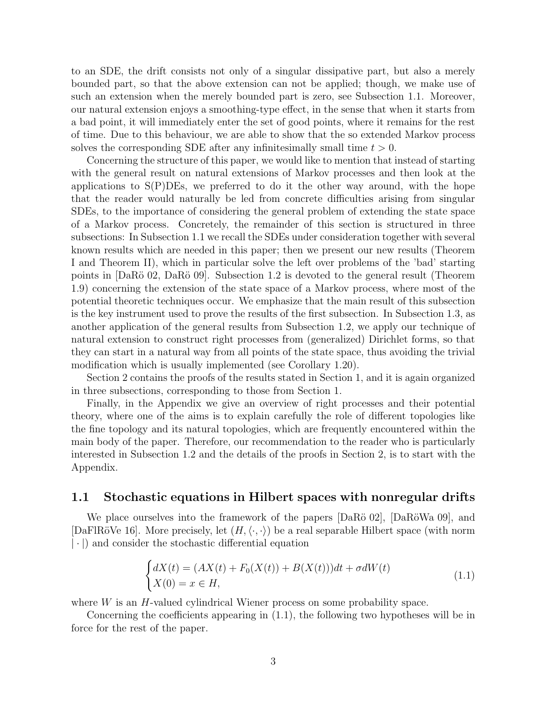to an SDE, the drift consists not only of a singular dissipative part, but also a merely bounded part, so that the above extension can not be applied; though, we make use of such an extension when the merely bounded part is zero, see Subsection 1.1. Moreover, our natural extension enjoys a smoothing-type effect, in the sense that when it starts from a bad point, it will immediately enter the set of good points, where it remains for the rest of time. Due to this behaviour, we are able to show that the so extended Markov process solves the corresponding SDE after any infinitesimally small time  $t > 0$ .

Concerning the structure of this paper, we would like to mention that instead of starting with the general result on natural extensions of Markov processes and then look at the applications to  $S(P)$ DEs, we preferred to do it the other way around, with the hope that the reader would naturally be led from concrete difficulties arising from singular SDEs, to the importance of considering the general problem of extending the state space of a Markov process. Concretely, the remainder of this section is structured in three subsections: In Subsection 1.1 we recall the SDEs under consideration together with several known results which are needed in this paper; then we present our new results (Theorem I and Theorem II), which in particular solve the left over problems of the 'bad' starting points in  $DaR\ddot{o} 02$ ,  $DaR\ddot{o} 09$ . Subsection 1.2 is devoted to the general result (Theorem 1.9) concerning the extension of the state space of a Markov process, where most of the potential theoretic techniques occur. We emphasize that the main result of this subsection is the key instrument used to prove the results of the first subsection. In Subsection 1.3, as another application of the general results from Subsection 1.2, we apply our technique of natural extension to construct right processes from (generalized) Dirichlet forms, so that they can start in a natural way from all points of the state space, thus avoiding the trivial modification which is usually implemented (see Corollary 1.20).

Section 2 contains the proofs of the results stated in Section 1, and it is again organized in three subsections, corresponding to those from Section 1.

Finally, in the Appendix we give an overview of right processes and their potential theory, where one of the aims is to explain carefully the role of different topologies like the fine topology and its natural topologies, which are frequently encountered within the main body of the paper. Therefore, our recommendation to the reader who is particularly interested in Subsection 1.2 and the details of the proofs in Section 2, is to start with the Appendix.

#### 1.1 Stochastic equations in Hilbert spaces with nonregular drifts

We place ourselves into the framework of the papers  $[DaR\ddot{o} 02]$ ,  $[DaR\ddot{o}Wa 09]$ , and [DaFlRöVe 16]. More precisely, let  $(H,\langle\cdot,\cdot\rangle)$  be a real separable Hilbert space (with norm | · |) and consider the stochastic differential equation

$$
\begin{cases} dX(t) = (AX(t) + F_0(X(t)) + B(X(t)))dt + \sigma dW(t) \\ X(0) = x \in H, \end{cases}
$$
\n(1.1)

where W is an H-valued cylindrical Wiener process on some probability space.

Concerning the coefficients appearing in (1.1), the following two hypotheses will be in force for the rest of the paper.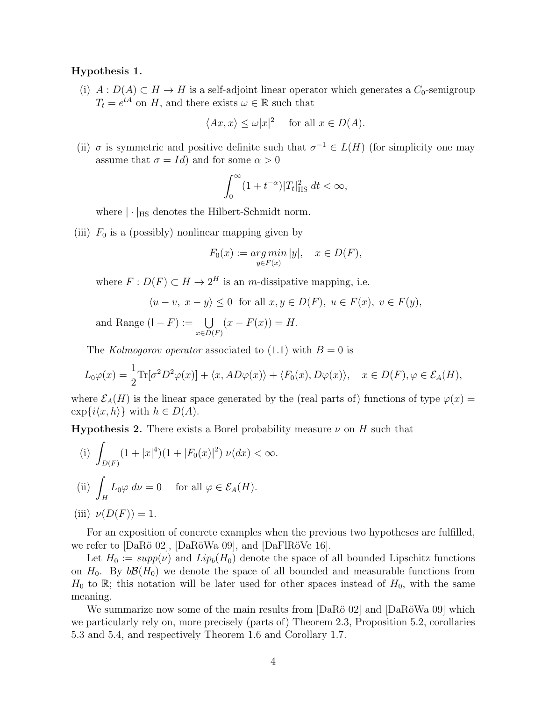#### Hypothesis 1.

(i)  $A: D(A) \subset H \to H$  is a self-adjoint linear operator which generates a  $C_0$ -semigroup  $T_t = e^{tA}$  on H, and there exists  $\omega \in \mathbb{R}$  such that

$$
\langle Ax, x \rangle \le \omega |x|^2
$$
 for all  $x \in D(A)$ .

(ii)  $\sigma$  is symmetric and positive definite such that  $\sigma^{-1} \in L(H)$  (for simplicity one may assume that  $\sigma = Id$  and for some  $\alpha > 0$ 

$$
\int_0^\infty (1+t^{-\alpha})|T_t|^2_{\text{HS}} dt < \infty,
$$

where  $|\cdot|_{\text{HS}}$  denotes the Hilbert-Schmidt norm.

(iii)  $F_0$  is a (possibly) nonlinear mapping given by

$$
F_0(x) := \underset{y \in F(x)}{\arg \min} |y|, \quad x \in D(F),
$$

where  $F: D(F) \subset H \to 2^H$  is an *m*-dissipative mapping, i.e.

$$
\langle u - v, x - y \rangle \le 0 \text{ for all } x, y \in D(F), u \in F(x), v \in F(y),
$$

and Range  $(I - F) := \bigcup$  $x \in D(F)$  $(x - F(x)) = H.$ 

The Kolmogorov operator associated to  $(1.1)$  with  $B = 0$  is

$$
L_0\varphi(x) = \frac{1}{2}\text{Tr}[\sigma^2 D^2\varphi(x)] + \langle x, AD\varphi(x) \rangle + \langle F_0(x), D\varphi(x) \rangle, \quad x \in D(F), \varphi \in \mathcal{E}_A(H),
$$

where  $\mathcal{E}_A(H)$  is the linear space generated by the (real parts of) functions of type  $\varphi(x)$  =  $\exp\{i\langle x, h\rangle\}$  with  $h \in D(A)$ .

**Hypothesis 2.** There exists a Borel probability measure  $\nu$  on H such that

(i) 
$$
\int_{D(F)} (1+|x|^4)(1+|F_0(x)|^2) \nu(dx) < \infty.
$$
  
(ii) 
$$
\int_H L_0 \varphi \, d\nu = 0 \quad \text{for all } \varphi \in \mathcal{E}_A(H).
$$

(iii) 
$$
\nu(D(F)) = 1
$$
.

For an exposition of concrete examples when the previous two hypotheses are fulfilled, we refer to  $[DaR\ddot{o} 02]$ ,  $[DaR\ddot{o}Wa 09]$ , and  $[DaF]R\ddot{o}Ve 16]$ .

Let  $H_0 := supp(\nu)$  and  $Lip_b(H_0)$  denote the space of all bounded Lipschitz functions on  $H_0$ . By  $b\mathcal{B}(H_0)$  we denote the space of all bounded and measurable functions from  $H_0$  to R; this notation will be later used for other spaces instead of  $H_0$ , with the same meaning.

We summarize now some of the main results from  $[DaR\ddot{o} 02]$  and  $[DaR\ddot{o}Wa 09]$  which we particularly rely on, more precisely (parts of) Theorem 2.3, Proposition 5.2, corollaries 5.3 and 5.4, and respectively Theorem 1.6 and Corollary 1.7.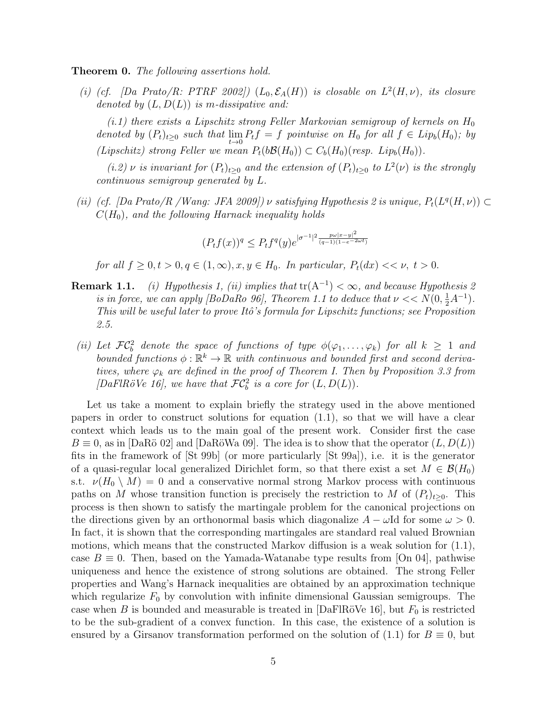Theorem 0. The following assertions hold.

(i) (cf. [Da Prato/R: PTRF 2002])  $(L_0, \mathcal{E}_A(H))$  is closable on  $L^2(H, \nu)$ , its closure denoted by  $(L, D(L))$  is m-dissipative and:

 $(i.1)$  there exists a Lipschitz strong Feller Markovian semigroup of kernels on  $H_0$ denoted by  $(P_t)_{t\geq 0}$  such that  $\lim_{t\to 0} P_t f = f$  pointwise on  $H_0$  for all  $f \in Lip_b(H_0)$ ; by (Lipschitz) strong Feller we mean  $P_t(b\mathcal{B}(H_0)) \subset C_b(H_0)(resp. Lip_b(H_0)).$ 

(i.2)  $\nu$  is invariant for  $(P_t)_{t\geq0}$  and the extension of  $(P_t)_{t\geq0}$  to  $L^2(\nu)$  is the strongly continuous semigroup generated by L.

(ii) (cf. [Da Prato/R / Wang: JFA 2009])  $\nu$  satisfying Hypothesis 2 is unique,  $P_t(L^q(H, \nu)) \subset$  $C(H_0)$ , and the following Harnack inequality holds

$$
(P_t f(x))^q \leq P_t f^q(y) e^{|\sigma^{-1}|^2 \frac{p\omega |x-y|^2}{(q-1)(1-e^{-2\omega t})}}
$$

for all  $f \geq 0, t > 0, q \in (1,\infty), x, y \in H_0$ . In particular,  $P_t(dx) \ll \nu$ ,  $t > 0$ .

- **Remark 1.1.** (i) Hypothesis 1, (ii) implies that  $tr(A^{-1}) < \infty$ , and because Hypothesis 2 is in force, we can apply [BoDaRo 96], Theorem 1.1 to deduce that  $\nu << N(0, \frac{1}{2}A^{-1})$ . This will be useful later to prove Itô's formula for Lipschitz functions; see Proposition 2.5.
- (ii) Let  $\mathcal{FC}_b^2$  denote the space of functions of type  $\phi(\varphi_1,\ldots,\varphi_k)$  for all  $k \geq 1$  and bounded functions  $\phi : \mathbb{R}^k \to \mathbb{R}$  with continuous and bounded first and second derivatives, where  $\varphi_k$  are defined in the proof of Theorem I. Then by Proposition 3.3 from [DaFlRöVe 16], we have that  $\mathcal{FC}_b^2$  is a core for  $(L, D(L))$ .

Let us take a moment to explain briefly the strategy used in the above mentioned papers in order to construct solutions for equation  $(1.1)$ , so that we will have a clear context which leads us to the main goal of the present work. Consider first the case  $B \equiv 0$ , as in [DaRö 02] and [DaRöWa 09]. The idea is to show that the operator  $(L, D(L))$ fits in the framework of [St 99b] (or more particularly [St 99a]), i.e. it is the generator of a quasi-regular local generalized Dirichlet form, so that there exist a set  $M \in \mathcal{B}(H_0)$ s.t.  $\nu(H_0 \setminus M) = 0$  and a conservative normal strong Markov process with continuous paths on M whose transition function is precisely the restriction to M of  $(P_t)_{t>0}$ . This process is then shown to satisfy the martingale problem for the canonical projections on the directions given by an orthonormal basis which diagonalize  $A - \omega \text{Id}$  for some  $\omega > 0$ . In fact, it is shown that the corresponding martingales are standard real valued Brownian motions, which means that the constructed Markov diffusion is a weak solution for (1.1), case  $B \equiv 0$ . Then, based on the Yamada-Watanabe type results from [On 04], pathwise uniqueness and hence the existence of strong solutions are obtained. The strong Feller properties and Wang's Harnack inequalities are obtained by an approximation technique which regularize  $F_0$  by convolution with infinite dimensional Gaussian semigroups. The case when B is bounded and measurable is treated in  $[DaFIRöVe 16]$ , but  $F_0$  is restricted to be the sub-gradient of a convex function. In this case, the existence of a solution is ensured by a Girsanov transformation performed on the solution of  $(1.1)$  for  $B \equiv 0$ , but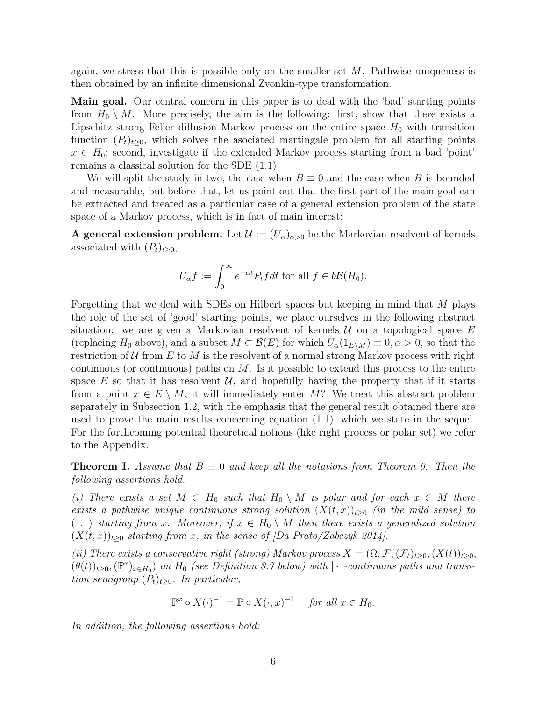again, we stress that this is possible only on the smaller set  $M$ . Pathwise uniqueness is then obtained by an infinite dimensional Zvonkin-type transformation.

Main goal. Our central concern in this paper is to deal with the 'bad' starting points from  $H_0 \setminus M$ . More precisely, the aim is the following: first, show that there exists a Lipschitz strong Feller diffusion Markov process on the entire space  $H_0$  with transition function  $(P_t)_{t>0}$ , which solves the asociated martingale problem for all starting points  $x \in H_0$ ; second, investigate if the extended Markov process starting from a bad 'point' remains a classical solution for the SDE (1.1).

We will split the study in two, the case when  $B \equiv 0$  and the case when B is bounded and measurable, but before that, let us point out that the first part of the main goal can be extracted and treated as a particular case of a general extension problem of the state space of a Markov process, which is in fact of main interest:

A general extension problem. Let  $\mathcal{U} := (U_{\alpha})_{\alpha>0}$  be the Markovian resolvent of kernels associated with  $(P_t)_{t\geq0}$ ,

$$
U_{\alpha}f := \int_0^{\infty} e^{-\alpha t} P_t f dt
$$
 for all  $f \in b\mathcal{B}(H_0)$ .

Forgetting that we deal with SDEs on Hilbert spaces but keeping in mind that M plays the role of the set of 'good' starting points, we place ourselves in the following abstract situation: we are given a Markovian resolvent of kernels  $U$  on a topological space  $E$ (replacing  $H_0$  above), and a subset  $M \subset \mathcal{B}(E)$  for which  $U_\alpha(1_{E\setminus M}) \equiv 0, \alpha > 0$ , so that the restriction of U from E to M is the resolvent of a normal strong Markov process with right continuous (or continuous) paths on  $M$ . Is it possible to extend this process to the entire space E so that it has resolvent  $\mathcal{U}$ , and hopefully having the property that if it starts from a point  $x \in E \setminus M$ , it will immediately enter M? We treat this abstract problem separately in Subsection 1.2, with the emphasis that the general result obtained there are used to prove the main results concerning equation (1.1), which we state in the sequel. For the forthcoming potential theoretical notions (like right process or polar set) we refer to the Appendix.

**Theorem I.** Assume that  $B \equiv 0$  and keep all the notations from Theorem 0. Then the following assertions hold.

(i) There exists a set  $M \subset H_0$  such that  $H_0 \setminus M$  is polar and for each  $x \in M$  there exists a pathwise unique continuous strong solution  $(X(t, x))_{t>0}$  (in the mild sense) to (1.1) starting from x. Moreover, if  $x \in H_0 \setminus M$  then there exists a generalized solution  $(X(t, x))_{t\geq0}$  starting from x, in the sense of  $\vert Da \; Prato/Zabczyk \; 2014 \vert$ .

(ii) There exists a conservative right (strong) Markov process  $X = (\Omega, \mathcal{F}, (\mathcal{F}_t)_{t\geq 0}, (X(t))_{t\geq 0},$  $(\theta(t))_{t\geq0},(\mathbb{P}^x)_{x\in H_0})$  on  $H_0$  (see Definition 3.7 below) with  $|\cdot|$ -continuous paths and transition semigroup  $(P_t)_{t\geq0}$ . In particular,

$$
\mathbb{P}^x \circ X(\cdot)^{-1} = \mathbb{P} \circ X(\cdot, x)^{-1} \quad \text{for all } x \in H_0.
$$

In addition, the following assertions hold: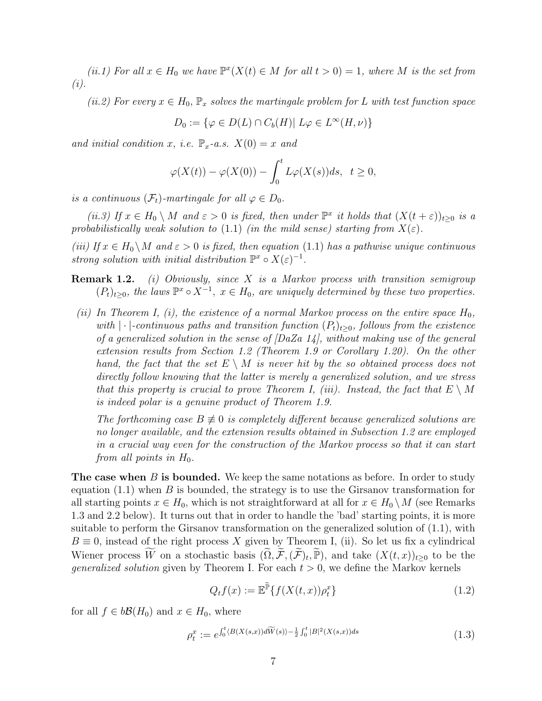(ii.1) For all  $x \in H_0$  we have  $\mathbb{P}^x(X(t) \in M$  for all  $t > 0) = 1$ , where M is the set from (i).

(ii.2) For every  $x \in H_0$ ,  $\mathbb{P}_x$  solves the martingale problem for L with test function space

$$
D_0 := \{ \varphi \in D(L) \cap C_b(H) | L\varphi \in L^{\infty}(H, \nu) \}
$$

and initial condition x, i.e.  $\mathbb{P}_x$ -a.s.  $X(0) = x$  and

$$
\varphi(X(t)) - \varphi(X(0)) - \int_0^t L\varphi(X(s))ds, \quad t \ge 0,
$$

is a continuous  $(\mathcal{F}_t)$ -martingale for all  $\varphi \in D_0$ .

(ii.3) If  $x \in H_0 \setminus M$  and  $\varepsilon > 0$  is fixed, then under  $\mathbb{P}^x$  it holds that  $(X(t + \varepsilon))_{t \geq 0}$  is a probabilistically weak solution to (1.1) (in the mild sense) starting from  $X(\varepsilon)$ .

(iii) If  $x \in H_0 \backslash M$  and  $\varepsilon > 0$  is fixed, then equation (1.1) has a pathwise unique continuous strong solution with initial distribution  $\mathbb{P}^x \circ X(\varepsilon)^{-1}$ .

- **Remark 1.2.** (i) Obviously, since X is a Markov process with transition semigroup  $(P_t)_{t\geq0}$ , the laws  $\mathbb{P}^x \circ X^{-1}$ ,  $x \in H_0$ , are uniquely determined by these two properties.
- (ii) In Theorem I, (i), the existence of a normal Markov process on the entire space  $H_0$ , with | · |-continuous paths and transition function  $(P_t)_{t>0}$ , follows from the existence of a generalized solution in the sense of  $DaZa 14$ , without making use of the general extension results from Section 1.2 (Theorem 1.9 or Corollary 1.20). On the other hand, the fact that the set  $E \setminus M$  is never hit by the so obtained process does not directly follow knowing that the latter is merely a generalized solution, and we stress that this property is crucial to prove Theorem I, (iii). Instead, the fact that  $E \setminus M$ is indeed polar is a genuine product of Theorem 1.9.

The forthcoming case  $B \not\equiv 0$  is completely different because generalized solutions are no longer available, and the extension results obtained in Subsection 1.2 are employed in a crucial way even for the construction of the Markov process so that it can start from all points in  $H_0$ .

**The case when B is bounded.** We keep the same notations as before. In order to study equation  $(1.1)$  when B is bounded, the strategy is to use the Girsanov transformation for all starting points  $x \in H_0$ , which is not straightforward at all for  $x \in H_0 \setminus M$  (see Remarks 1.3 and 2.2 below). It turns out that in order to handle the 'bad' starting points, it is more suitable to perform the Girsanov transformation on the generalized solution of (1.1), with  $B \equiv 0$ , instead of the right process X given by Theorem I, (ii). So let us fix a cylindrical Wiener process  $\widetilde{W}$  on a stochastic basis  $(\widetilde{\Omega}, \widetilde{\mathcal{F}}, (\widetilde{\mathcal{F}})_t, \widetilde{\mathbb{P}})$ , and take  $(X(t,x))_{t\geq 0}$  to be the *generalized solution* given by Theorem I. For each  $t > 0$ , we define the Markov kernels

$$
Q_t f(x) := \mathbb{E}^{\widetilde{\mathbb{P}}}\left\{f(X(t,x))\rho_t^x\right\} \tag{1.2}
$$

for all  $f \in b\mathcal{B}(H_0)$  and  $x \in H_0$ , where

$$
\rho_t^x := e^{\int_0^t \langle B(X(s,x))d\widetilde{W}(s)\rangle - \frac{1}{2}\int_0^t |B|^2(X(s,x))ds} \tag{1.3}
$$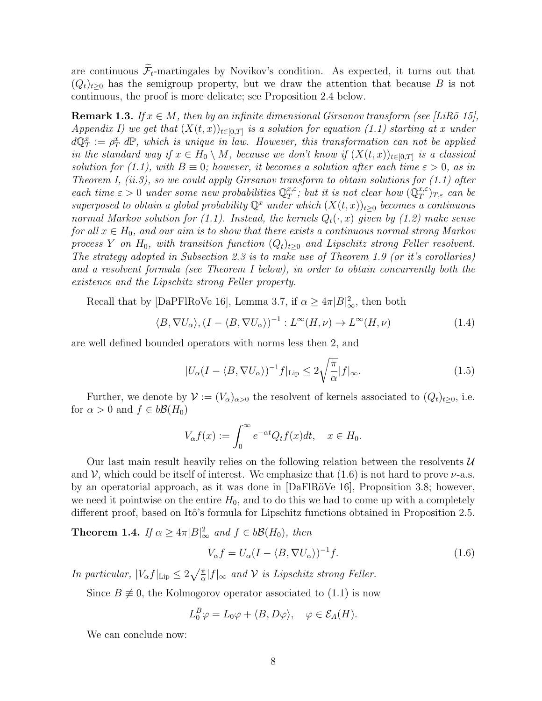are continuous  $\widetilde{\mathcal{F}}_t$ -martingales by Novikov's condition. As expected, it turns out that  $(Q_t)_{t\geq0}$  has the semigroup property, but we draw the attention that because B is not continuous, the proof is more delicate; see Proposition 2.4 below.

**Remark 1.3.** If  $x \in M$ , then by an infinite dimensional Girsanov transform (see [LiRö 15], Appendix I) we get that  $(X(t, x))_{t \in [0,T]}$  is a solution for equation (1.1) starting at x under  $d\mathbb{Q}_T^x := \rho_T^x d\mathbb{P}$ , which is unique in law. However, this transformation can not be applied in the standard way if  $x \in H_0 \setminus M$ , because we don't know if  $(X(t,x))_{t \in [0,T]}$  is a classical solution for (1.1), with  $B \equiv 0$ ; however, it becomes a solution after each time  $\varepsilon > 0$ , as in Theorem I,  $(ii.3)$ , so we could apply Girsanov transform to obtain solutions for  $(1.1)$  after each time  $\varepsilon > 0$  under some new probabilities  $\mathbb{Q}_T^{x,\varepsilon}$  $x_{\tau}^{x,\varepsilon}$ ; but it is not clear how  $(\mathbb{Q}_{T}^{x,\varepsilon})$  $_{T}^{x,\varepsilon})_{T,\varepsilon}$  can be superposed to obtain a global probability  $\mathbb{Q}^x$  under which  $(X(t,x))_{t\geq0}$  becomes a continuous normal Markov solution for (1.1). Instead, the kernels  $Q_t(\cdot, x)$  given by (1.2) make sense for all  $x \in H_0$ , and our aim is to show that there exists a continuous normal strong Markov process Y on H<sub>0</sub>, with transition function  $(Q_t)_{t\geq0}$  and Lipschitz strong Feller resolvent. The strategy adopted in Subsection 2.3 is to make use of Theorem 1.9 (or it's corollaries) and a resolvent formula (see Theorem I below), in order to obtain concurrently both the existence and the Lipschitz strong Feller property.

Recall that by [DaPFlRoVe 16], Lemma 3.7, if  $\alpha \geq 4\pi |B|_{\infty}^2$ , then both

$$
\langle B, \nabla U_{\alpha} \rangle, (I - \langle B, \nabla U_{\alpha} \rangle)^{-1} : L^{\infty}(H, \nu) \to L^{\infty}(H, \nu)
$$
\n(1.4)

are well defined bounded operators with norms less then 2, and

$$
|U_{\alpha}(I - \langle B, \nabla U_{\alpha} \rangle)^{-1} f|_{\text{Lip}} \le 2\sqrt{\frac{\pi}{\alpha}} |f|_{\infty}.
$$
\n(1.5)

Further, we denote by  $\mathcal{V} := (V_\alpha)_{\alpha>0}$  the resolvent of kernels associated to  $(Q_t)_{t\geq0}$ , i.e. for  $\alpha > 0$  and  $f \in b\mathcal{B}(H_0)$ 

$$
V_{\alpha}f(x) := \int_0^{\infty} e^{-\alpha t} Q_t f(x) dt, \quad x \in H_0.
$$

Our last main result heavily relies on the following relation between the resolvents  $\mathcal U$ and V, which could be itself of interest. We emphasize that  $(1.6)$  is not hard to prove  $\nu$ -a.s. by an operatorial approach, as it was done in  $[DaFIRöVe 16]$ , Proposition 3.8; however, we need it pointwise on the entire  $H_0$ , and to do this we had to come up with a completely different proof, based on Itô's formula for Lipschitz functions obtained in Proposition 2.5.

**Theorem 1.4.** If  $\alpha \geq 4\pi |B|_{\infty}^2$  and  $f \in b\mathcal{B}(H_0)$ , then

$$
V_{\alpha}f = U_{\alpha}(I - \langle B, \nabla U_{\alpha} \rangle)^{-1}f. \tag{1.6}
$$

In particular,  $|V_{\alpha}f|_{\text{Lip}} \leq 2\sqrt{\frac{\pi}{\alpha}}|f|_{\infty}$  and  $\mathcal V$  is Lipschitz strong Feller.

Since  $B \neq 0$ , the Kolmogorov operator associated to (1.1) is now

$$
L_0^B \varphi = L_0 \varphi + \langle B, D\varphi \rangle, \quad \varphi \in \mathcal{E}_A(H).
$$

We can conclude now: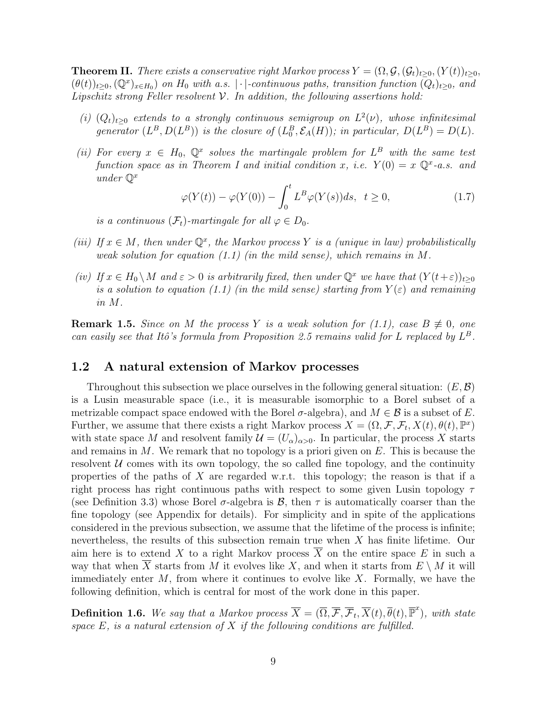**Theorem II.** There exists a conservative right Markov process  $Y = (\Omega, \mathcal{G}, (\mathcal{G}_t)_{t>0}, (Y(t))_{t>0},$  $(\theta(t))_{t\geq0},(\mathbb{Q}^x)_{x\in H_0})$  on  $H_0$  with a.s. | · |-continuous paths, transition function  $(Q_t)_{t\geq0}$ , and Lipschitz strong Feller resolvent  $\mathcal V$ . In addition, the following assertions hold:

- (i)  $(Q_t)_{t\geq0}$  extends to a strongly continuous semigroup on  $L^2(\nu)$ , whose infinitesimal generator  $(L^B, D(L^B))$  is the closure of  $(L_0^B, \mathcal{E}_A(H))$ ; in particular,  $D(L^B) = D(L)$ .
- (ii) For every  $x \in H_0$ ,  $\mathbb{Q}^x$  solves the martingale problem for  $L^B$  with the same test function space as in Theorem I and initial condition x, i.e.  $Y(0) = x \mathbb{Q}^x$ -a.s. and under  $\mathbb{O}^x$

$$
\varphi(Y(t)) - \varphi(Y(0)) - \int_0^t L^B \varphi(Y(s))ds, \quad t \ge 0,
$$
\n(1.7)

is a continuous  $(\mathcal{F}_t)$ -martingale for all  $\varphi \in D_0$ .

- (iii) If  $x \in M$ , then under  $\mathbb{Q}^x$ , the Markov process Y is a (unique in law) probabilistically weak solution for equation  $(1.1)$  (in the mild sense), which remains in M.
- (iv) If  $x \in H_0 \backslash M$  and  $\varepsilon > 0$  is arbitrarily fixed, then under  $\mathbb{Q}^x$  we have that  $(Y(t+\varepsilon))_{t\geq 0}$ is a solution to equation (1.1) (in the mild sense) starting from  $Y(\varepsilon)$  and remaining in M.

**Remark 1.5.** Since on M the process Y is a weak solution for (1.1), case  $B \not\equiv 0$ , one can easily see that Itô's formula from Proposition 2.5 remains valid for L replaced by  $L^B$ .

### 1.2 A natural extension of Markov processes

Throughout this subsection we place ourselves in the following general situation:  $(E, \mathcal{B})$ is a Lusin measurable space (i.e., it is measurable isomorphic to a Borel subset of a metrizable compact space endowed with the Borel  $\sigma$ -algebra), and  $M \in \mathcal{B}$  is a subset of E. Further, we assume that there exists a right Markov process  $X = (\Omega, \mathcal{F}, \mathcal{F}_t, X(t), \theta(t), \mathbb{P}^x)$ with state space M and resolvent family  $\mathcal{U} = (U_{\alpha})_{\alpha>0}$ . In particular, the process X starts and remains in  $M$ . We remark that no topology is a priori given on  $E$ . This is because the resolvent  $\mathcal U$  comes with its own topology, the so called fine topology, and the continuity properties of the paths of  $X$  are regarded w.r.t. this topology; the reason is that if a right process has right continuous paths with respect to some given Lusin topology  $\tau$ (see Definition 3.3) whose Borel  $\sigma$ -algebra is  $\mathcal{B}$ , then  $\tau$  is automatically coarser than the fine topology (see Appendix for details). For simplicity and in spite of the applications considered in the previous subsection, we assume that the lifetime of the process is infinite; nevertheless, the results of this subsection remain true when X has finite lifetime. Our aim here is to extend X to a right Markov process  $\overline{X}$  on the entire space E in such a way that when  $\overline{X}$  starts from M it evolves like X, and when it starts from  $E \setminus M$  it will immediately enter  $M$ , from where it continues to evolve like  $X$ . Formally, we have the following definition, which is central for most of the work done in this paper.

**Definition 1.6.** We say that a Markov process  $\overline{X} = (\overline{\Omega}, \overline{\mathcal{F}}, \overline{\mathcal{F}}_t, \overline{X}(t), \overline{\theta}(t), \overline{\mathbb{P}}^x)$ , with state space  $E$ , is a natural extension of  $X$  if the following conditions are fulfilled.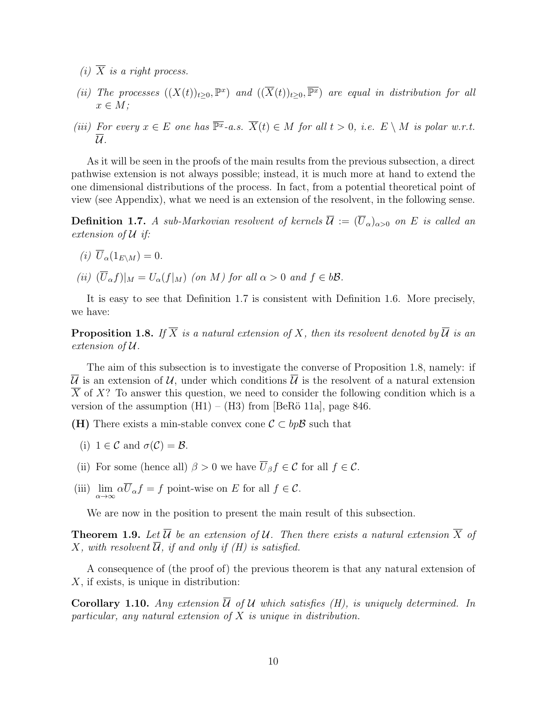- (i)  $\overline{X}$  is a right process.
- (ii) The processes  $((X(t))_{t\geq0}, \mathbb{P}^x)$  and  $((\overline{X}(t))_{t\geq0}, \overline{\mathbb{P}^x})$  are equal in distribution for all  $x \in M$ ;
- (iii) For every  $x \in E$  one has  $\overline{\mathbb{P}^x}$ -a.s.  $\overline{X}(t) \in M$  for all  $t > 0$ , i.e.  $E \setminus M$  is polar w.r.t.  $\overline{\mathcal{U}}$  .

As it will be seen in the proofs of the main results from the previous subsection, a direct pathwise extension is not always possible; instead, it is much more at hand to extend the one dimensional distributions of the process. In fact, from a potential theoretical point of view (see Appendix), what we need is an extension of the resolvent, in the following sense.

**Definition 1.7.** A sub-Markovian resolvent of kernels  $\overline{U} := (\overline{U}_{\alpha})_{\alpha > 0}$  on E is called an extension of U if:

- (i)  $\overline{U}_{\alpha}(1_{E\setminus M})=0.$
- (ii)  $(\overline{U}_{\alpha}f)|_M = U_{\alpha}(f|_M)$  (on M) for all  $\alpha > 0$  and  $f \in b\mathcal{B}$ .

It is easy to see that Definition 1.7 is consistent with Definition 1.6. More precisely, we have:

**Proposition 1.8.** If  $\overline{X}$  is a natural extension of X, then its resolvent denoted by  $\overline{U}$  is an extension of U.

The aim of this subsection is to investigate the converse of Proposition 1.8, namely: if  $\overline{\mathcal{U}}$  is an extension of  $\mathcal{U}$ , under which conditions  $\overline{\mathcal{U}}$  is the resolvent of a natural extension X of  $X$ ? To answer this question, we need to consider the following condition which is a version of the assumption  $(H1) - (H3)$  from [BeRö 11a], page 846.

- (H) There exists a min-stable convex cone  $\mathcal{C} \subset bp\mathcal{B}$  such that
	- (i)  $1 \in \mathcal{C}$  and  $\sigma(\mathcal{C}) = \mathcal{B}$ .
- (ii) For some (hence all)  $\beta > 0$  we have  $\overline{U}_{\beta} f \in \mathcal{C}$  for all  $f \in \mathcal{C}$ .
- (iii)  $\lim_{\alpha \to \infty} \alpha U_{\alpha} f = f$  point-wise on E for all  $f \in \mathcal{C}$ .

We are now in the position to present the main result of this subsection.

**Theorem 1.9.** Let  $\overline{\mathcal{U}}$  be an extension of  $\mathcal{U}$ . Then there exists a natural extension  $\overline{X}$  of X, with resolvent  $\overline{\mathcal{U}}$ , if and only if (H) is satisfied.

A consequence of (the proof of) the previous theorem is that any natural extension of X, if exists, is unique in distribution:

Corollary 1.10. Any extension  $\overline{U}$  of U which satisfies (H), is uniquely determined. In particular, any natural extension of  $X$  is unique in distribution.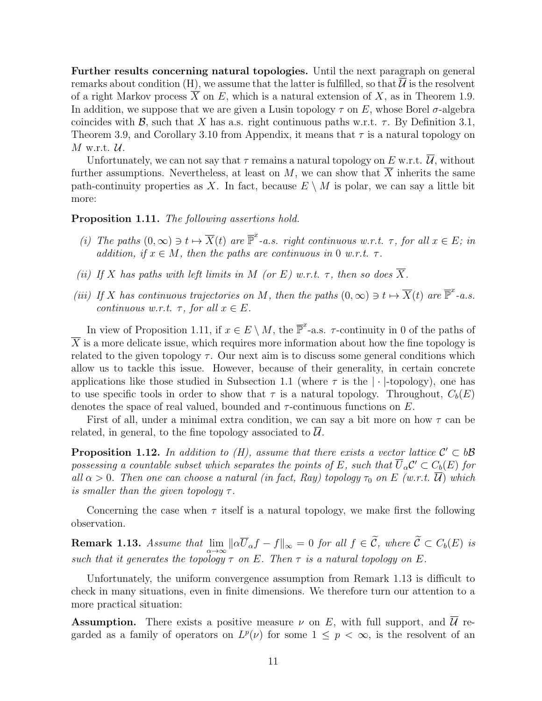Further results concerning natural topologies. Until the next paragraph on general remarks about condition (H), we assume that the latter is fulfilled, so that  $\overline{\mathcal{U}}$  is the resolvent of a right Markov process X on E, which is a natural extension of X, as in Theorem 1.9. In addition, we suppose that we are given a Lusin topology  $\tau$  on E, whose Borel  $\sigma$ -algebra coincides with B, such that X has a.s. right continuous paths w.r.t.  $\tau$ . By Definition 3.1, Theorem 3.9, and Corollary 3.10 from Appendix, it means that  $\tau$  is a natural topology on  $M$  w.r.t.  $\mathcal{U}.$ 

Unfortunately, we can not say that  $\tau$  remains a natural topology on E w.r.t.  $\overline{\mathcal{U}}$ , without further assumptions. Nevertheless, at least on M, we can show that  $\overline{X}$  inherits the same path-continuity properties as X. In fact, because  $E \setminus M$  is polar, we can say a little bit more:

Proposition 1.11. The following assertions hold.

- (i) The paths  $(0, \infty) \ni t \mapsto \overline{X}(t)$  are  $\overline{\mathbb{P}}^x$ -a.s. right continuous w.r.t.  $\tau$ , for all  $x \in E$ ; in addition, if  $x \in M$ , then the paths are continuous in 0 w.r.t.  $\tau$ .
- (ii) If X has paths with left limits in M (or E) w.r.t.  $\tau$ , then so does  $\overline{X}$ .
- (iii) If X has continuous trajectories on M, then the paths  $(0, \infty) \ni t \mapsto \overline{X}(t)$  are  $\overline{\mathbb{P}}^x$ -a.s. continuous w.r.t.  $\tau$ , for all  $x \in E$ .

In view of Proposition 1.11, if  $x \in E \setminus M$ , the  $\overline{\mathbb{P}}^x$ -a.s.  $\tau$ -continuity in 0 of the paths of  $\overline{X}$  is a more delicate issue, which requires more information about how the fine topology is related to the given topology  $\tau$ . Our next aim is to discuss some general conditions which allow us to tackle this issue. However, because of their generality, in certain concrete applications like those studied in Subsection 1.1 (where  $\tau$  is the  $|\cdot|$ -topology), one has to use specific tools in order to show that  $\tau$  is a natural topology. Throughout,  $C_b(E)$ denotes the space of real valued, bounded and  $\tau$ -continuous functions on E.

First of all, under a minimal extra condition, we can say a bit more on how  $\tau$  can be related, in general, to the fine topology associated to  $U$ .

**Proposition 1.12.** In addition to  $(H)$ , assume that there exists a vector lattice  $C' \subset b\mathcal{B}$ possessing a countable subset which separates the points of E, such that  $\overline{U}_{\alpha}C' \subset C_b(E)$  for all  $\alpha > 0$ . Then one can choose a natural (in fact, Ray) topology  $\tau_0$  on E (w.r.t.  $\overline{\mathcal{U}}$ ) which is smaller than the given topology  $\tau$ .

Concerning the case when  $\tau$  itself is a natural topology, we make first the following observation.

**Remark 1.13.** Assume that  $\lim_{\alpha\to\infty} ||\alpha \overline{U}_{\alpha}f - f||_{\infty} = 0$  for all  $f \in \mathcal{C}$ , where  $\mathcal{C} \subset C_b(E)$  is such that it generates the topology  $\tau$  on E. Then  $\tau$  is a natural topology on E.

Unfortunately, the uniform convergence assumption from Remark 1.13 is difficult to check in many situations, even in finite dimensions. We therefore turn our attention to a more practical situation:

**Assumption.** There exists a positive measure  $\nu$  on E, with full support, and  $\overline{\mathcal{U}}$  regarded as a family of operators on  $L^p(\nu)$  for some  $1 \leq p < \infty$ , is the resolvent of an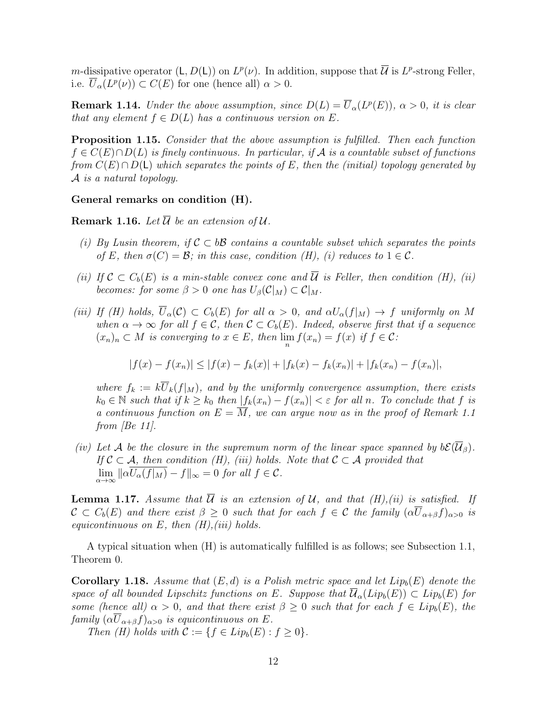m-dissipative operator  $(L, D(L))$  on  $L^p(\nu)$ . In addition, suppose that  $\overline{\mathcal{U}}$  is  $L^p$ -strong Feller, i.e.  $\overline{U}_{\alpha}(L^p(\nu)) \subset C(E)$  for one (hence all)  $\alpha > 0$ .

**Remark 1.14.** Under the above assumption, since  $D(L) = \overline{U}_{\alpha}(L^p(E))$ ,  $\alpha > 0$ , it is clear that any element  $f \in D(L)$  has a continuous version on E.

**Proposition 1.15.** Consider that the above assumption is fulfilled. Then each function  $f \in C(E) \cap D(L)$  is finely continuous. In particular, if A is a countable subset of functions from  $C(E) \cap D(L)$  which separates the points of E, then the (initial) topology generated by A is a natural topology.

#### General remarks on condition (H).

**Remark 1.16.** Let  $\overline{\mathcal{U}}$  be an extension of  $\mathcal{U}$ .

- (i) By Lusin theorem, if  $\mathcal{C} \subset b\mathcal{B}$  contains a countable subset which separates the points of E, then  $\sigma(C) = \mathcal{B}$ ; in this case, condition (H), (i) reduces to  $1 \in \mathcal{C}$ .
- (ii) If  $\mathcal{C} \subset C_b(E)$  is a min-stable convex cone and  $\overline{\mathcal{U}}$  is Feller, then condition (H), (ii) becomes: for some  $\beta > 0$  one has  $U_{\beta}(\mathcal{C}|_M) \subset \mathcal{C}|_M$ .
- (iii) If (H) holds,  $\overline{U}_{\alpha}(\mathcal{C}) \subset C_b(E)$  for all  $\alpha > 0$ , and  $\alpha U_{\alpha}(f|_{M}) \to f$  uniformly on M when  $\alpha \to \infty$  for all  $f \in \mathcal{C}$ , then  $\mathcal{C} \subset C_b(E)$ . Indeed, observe first that if a sequence  $(x_n)_n \subset M$  is converging to  $x \in E$ , then  $\lim_{n} f(x_n) = f(x)$  if  $f \in C$ :

$$
|f(x) - f(x_n)| \le |f(x) - f_k(x)| + |f_k(x) - f_k(x_n)| + |f_k(x_n) - f(x_n)|,
$$

where  $f_k := k \overline{U}_k(f|_M)$ , and by the uniformly convergence assumption, there exists  $k_0 \in \mathbb{N}$  such that if  $k \geq k_0$  then  $|f_k(x_n) - f(x_n)| < \varepsilon$  for all n. To conclude that f is a continuous function on  $E = \overline{M}$ , we can argue now as in the proof of Remark 1.1 from  $[Be 11]$ .

(iv) Let A be the closure in the supremum norm of the linear space spanned by  $b\mathcal{E}(\overline{\mathcal{U}}_{\beta}).$ If  $C \subset A$ , then condition (H), (iii) holds. Note that  $C \subset A$  provided that  $\lim_{\alpha \to \infty} ||\alpha U_{\alpha}(f|_{M}) - f||_{\infty} = 0$  for all  $f \in \mathcal{C}$ .

**Lemma 1.17.** Assume that  $\overline{U}$  is an extension of U, and that  $(H), (ii)$  is satisfied. If  $\mathcal{C} \subset C_b(E)$  and there exist  $\beta \geq 0$  such that for each  $f \in \mathcal{C}$  the family  $(\alpha \overline{U}_{\alpha+\beta}f)_{\alpha>0}$  is equicontinuous on  $E$ , then  $(H)$ , (iii) holds.

A typical situation when (H) is automatically fulfilled is as follows; see Subsection 1.1, Theorem 0.

**Corollary 1.18.** Assume that  $(E,d)$  is a Polish metric space and let  $Lip_b(E)$  denote the space of all bounded Lipschitz functions on E. Suppose that  $\overline{\mathcal{U}}_{\alpha}(Lip_b(E)) \subset Lip_b(E)$  for some (hence all)  $\alpha > 0$ , and that there exist  $\beta \geq 0$  such that for each  $f \in Lip_b(E)$ , the family  $({\alpha \overline{U}_{\alpha+\beta}f})_{\alpha>0}$  is equicontinuous on E.

Then (H) holds with  $\mathcal{C} := \{f \in Lip_b(E) : f \geq 0\}.$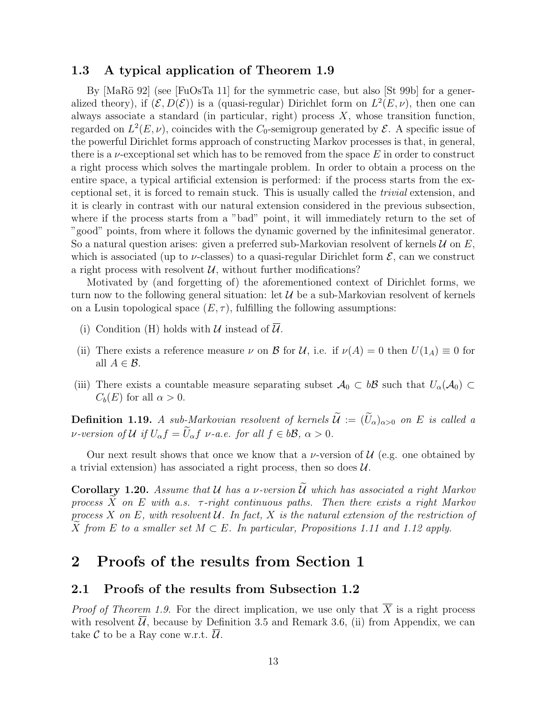### 1.3 A typical application of Theorem 1.9

By  $[MaRö 92]$  (see [FuOsTa 11] for the symmetric case, but also [St 99b] for a generalized theory), if  $(\mathcal{E}, D(\mathcal{E}))$  is a (quasi-regular) Dirichlet form on  $L^2(E, \nu)$ , then one can always associate a standard (in particular, right) process  $X$ , whose transition function, regarded on  $L^2(E,\nu)$ , coincides with the  $C_0$ -semigroup generated by  $\mathcal E$ . A specific issue of the powerful Dirichlet forms approach of constructing Markov processes is that, in general, there is a  $\nu$ -exceptional set which has to be removed from the space E in order to construct a right process which solves the martingale problem. In order to obtain a process on the entire space, a typical artificial extension is performed: if the process starts from the exceptional set, it is forced to remain stuck. This is usually called the trivial extension, and it is clearly in contrast with our natural extension considered in the previous subsection, where if the process starts from a "bad" point, it will immediately return to the set of "good" points, from where it follows the dynamic governed by the infinitesimal generator. So a natural question arises: given a preferred sub-Markovian resolvent of kernels  $U$  on  $E$ , which is associated (up to  $\nu$ -classes) to a quasi-regular Dirichlet form  $\mathcal{E}$ , can we construct a right process with resolvent  $\mathcal{U}$ , without further modifications?

Motivated by (and forgetting of) the aforementioned context of Dirichlet forms, we turn now to the following general situation: let  $\mathcal{U}$  be a sub-Markovian resolvent of kernels on a Lusin topological space  $(E, \tau)$ , fulfilling the following assumptions:

- (i) Condition (H) holds with  $U$  instead of  $U$ .
- (ii) There exists a reference measure  $\nu$  on  $\mathcal B$  for  $\mathcal U$ , i.e. if  $\nu(A) = 0$  then  $U(1_A) \equiv 0$  for all  $A \in \mathcal{B}$ .
- (iii) There exists a countable measure separating subset  $A_0 \subset b\mathcal{B}$  such that  $U_\alpha(\mathcal{A}_0) \subset$  $C_b(E)$  for all  $\alpha > 0$ .

**Definition 1.19.** A sub-Markovian resolvent of kernels  $\widetilde{\mathcal{U}} := (\widetilde{U}_{\alpha})_{\alpha > 0}$  on E is called a *v*-version of U if  $U_{\alpha}f = \widetilde{U}_{\alpha}f$  *v*-a.e. for all  $f \in b\mathcal{B}, \alpha > 0$ .

Our next result shows that once we know that a  $\nu$ -version of  $\mathcal{U}$  (e.g. one obtained by a trivial extension) has associated a right process, then so does  $\mathcal{U}$ .

Corollary 1.20. Assume that U has a v-version  $\widetilde{U}$  which has associated a right Markov process  $\overline{X}$  on E with a.s.  $\tau$ -right continuous paths. Then there exists a right Markov process X on E, with resolvent U. In fact, X is the natural extension of the restriction of  $\widetilde{X}$  from E to a smaller set  $M \subset E$ . In particular, Propositions 1.11 and 1.12 apply.

### 2 Proofs of the results from Section 1

### 2.1 Proofs of the results from Subsection 1.2

*Proof of Theorem 1.9.* For the direct implication, we use only that  $\overline{X}$  is a right process with resolvent  $\overline{\mathcal{U}}$ , because by Definition 3.5 and Remark 3.6, (ii) from Appendix, we can take  $\mathcal C$  to be a Ray cone w.r.t.  $\mathcal U$ .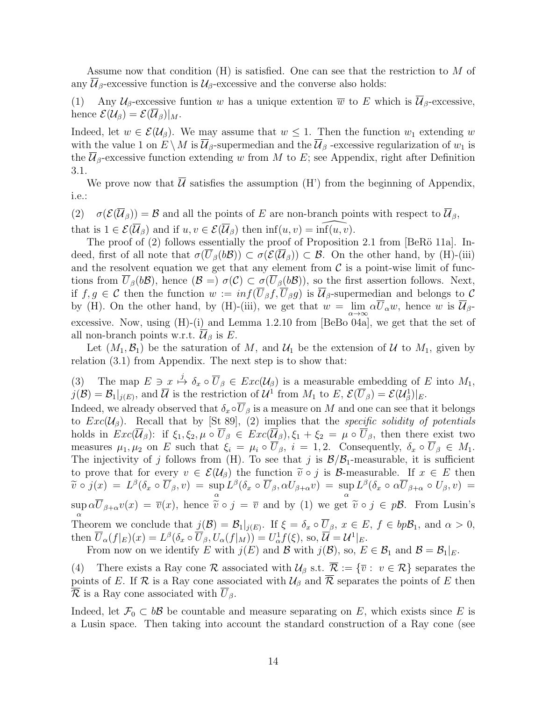Assume now that condition (H) is satisfied. One can see that the restriction to M of any  $\mathcal{U}_{\beta}$ -excessive function is  $\mathcal{U}_{\beta}$ -excessive and the converse also holds:

(1) Any  $\mathcal{U}_{\beta}$ -excessive funtion w has a unique extention  $\overline{w}$  to E which is  $\overline{\mathcal{U}}_{\beta}$ -excessive, hence  $\mathcal{E}(\mathcal{U}_{\beta}) = \mathcal{E}(\overline{\mathcal{U}}_{\beta})|_{M}.$ 

Indeed, let  $w \in \mathcal{E}(\mathcal{U}_{\beta})$ . We may assume that  $w \leq 1$ . Then the function  $w_1$  extending w with the value 1 on  $E \setminus M$  is  $\mathcal{U}_{\beta}$ -supermedian and the  $\mathcal{U}_{\beta}$ -excessive regularization of  $w_1$  is the  $\mathcal{U}_{\beta}$ -excessive function extending w from M to E; see Appendix, right after Definition 3.1.

We prove now that  $\overline{\mathcal{U}}$  satisfies the assumption (H') from the beginning of Appendix, i.e.:

(2)  $\sigma(\mathcal{E}(\overline{\mathcal{U}}_{\beta})) = \mathcal{B}$  and all the points of E are non-branch points with respect to  $\overline{\mathcal{U}}_{\beta}$ , that is  $1 \in \mathcal{E}(\overline{\mathcal{U}}_{\beta})$  and if  $u, v \in \mathcal{E}(\overline{\mathcal{U}}_{\beta})$  then  $\inf(u, v) = \inf(u, v)$ .

The proof of  $(2)$  follows essentially the proof of Proposition 2.1 from [BeRö 11a]. Indeed, first of all note that  $\sigma(U_\beta(b\mathcal{B})) \subset \sigma(\mathcal{E}(\overline{\mathcal{U}}_\beta)) \subset \mathcal{B}$ . On the other hand, by (H)-(iii) and the resolvent equation we get that any element from  $\mathcal C$  is a point-wise limit of functions from  $U_\beta(b\mathcal{B})$ , hence  $(\mathcal{B} = \sigma(\mathcal{C}) \subset \sigma(U_\beta(b\mathcal{B}))$ , so the first assertion follows. Next, if  $f, g \in \mathcal{C}$  then the function  $w := inf(\overline{U}_{\beta}f, \overline{U}_{\beta}g)$  is  $\overline{\mathcal{U}}_{\beta}$ -supermedian and belongs to  $\mathcal{C}$ by (H). On the other hand, by (H)-(iii), we get that  $w = \lim_{\alpha \to \infty} \alpha U_{\alpha} w$ , hence w is  $\mathcal{U}_{\beta}$ excessive. Now, using (H)-(i) and Lemma 1.2.10 from [BeBo 04a], we get that the set of all non-branch points w.r.t.  $\overline{\mathcal{U}}_{\beta}$  is E.

Let  $(M_1, \mathcal{B}_1)$  be the saturation of M, and  $\mathcal{U}_1$  be the extension of U to  $M_1$ , given by relation (3.1) from Appendix. The next step is to show that:

(3) The map  $E \ni x \stackrel{j}{\mapsto} \delta_x \circ \overline{U}_{\beta} \in Exc(\mathcal{U}_{\beta})$  is a measurable embedding of E into  $M_1$ ,  $j(\mathcal{B}) = \mathcal{B}_1|_{j(E)}$ , and  $\overline{\mathcal{U}}$  is the restriction of  $\mathcal{U}^1$  from  $M_1$  to  $E, \mathcal{E}(\overline{U}_{\beta}) = \mathcal{E}(\mathcal{U}_{\beta}^1)|_E$ .

Indeed, we already observed that  $\delta_x \circ \overline{U}_\beta$  is a measure on M and one can see that it belongs to  $Exc(\mathcal{U}_{\beta})$ . Recall that by [St 89], (2) implies that the specific solidity of potentials holds in  $Exc(\overline{\mathcal{U}}_{\beta})$ : if  $\xi_1, \xi_2, \mu \circ \overline{\mathcal{U}}_{\beta} \in Exc(\overline{\mathcal{U}}_{\beta}), \xi_1 + \xi_2 = \mu \circ \overline{\mathcal{U}}_{\beta}$ , then there exist two measures  $\mu_1, \mu_2$  on E such that  $\xi_i = \mu_i \circ \overline{U}_{\beta}, i = 1, 2$ . Consequently,  $\delta_x \circ \overline{U}_{\beta} \in M_1$ . The injectivity of j follows from (H). To see that j is  $\mathcal{B}/\mathcal{B}_1$ -measurable, it is sufficient to prove that for every  $v \in \mathcal{E}(\mathcal{U}_{\beta})$  the function  $\tilde{v} \circ j$  is B-measurable. If  $x \in E$  then  $\widetilde{v}\circ j(x) ~=~ L^{\beta}(\delta_x\circ \overline{U}_{\beta},v) ~=~ \sup_{\alpha}L^{\beta}(\delta_x\circ \overline{U}_{\beta},\alpha U_{\beta+\alpha}v) ~=~ \sup_{\alpha}L^{\beta}(\delta_x\circ \alpha \overline{U}_{\beta+\alpha}\circ U_{\beta},v) ~=~$  $\alpha$  and  $\alpha$  $\sup_{\alpha} \alpha U_{\beta+\alpha} v(x) = \overline{v}(x)$ , hence  $\widetilde{v} \circ j = \overline{v}$  and by (1) we get  $\widetilde{v} \circ j \in p\mathcal{B}$ . From Lusin's α Theorem we conclude that  $j(\mathcal{B}) = \mathcal{B}_1|_{j(E)}$ . If  $\xi = \delta_x \circ \overline{U}_{\beta}, x \in E, f \in bp\mathcal{B}_1$ , and  $\alpha > 0$ , then  $\overline{U}_{\alpha}(f|_{E})(x) = L^{\beta}(\delta_x \circ \overline{U}_{\beta}, U_{\alpha}(f|_{M})) = U_{\alpha}^{1}f(\xi)$ , so,  $\overline{\mathcal{U}} = \mathcal{U}^{1}|_{E}$ .

From now on we identify E with  $j(E)$  and B with  $j(\mathcal{B})$ , so,  $E \in \mathcal{B}_1$  and  $\mathcal{B} = \mathcal{B}_1|_E$ .

(4) There exists a Ray cone R associated with  $\mathcal{U}_{\beta}$  s.t.  $\overline{\mathcal{R}} := {\overline{v} : v \in \mathcal{R}}$  separates the points of E. If R is a Ray cone associated with  $\mathcal{U}_{\beta}$  and  $\overline{\mathcal{R}}$  separates the points of E then  $\overline{\mathcal{R}}$  is a Ray cone associated with  $\overline{U}_{\beta}$ .

Indeed, let  $\mathcal{F}_0 \subset b\mathcal{B}$  be countable and measure separating on E, which exists since E is a Lusin space. Then taking into account the standard construction of a Ray cone (see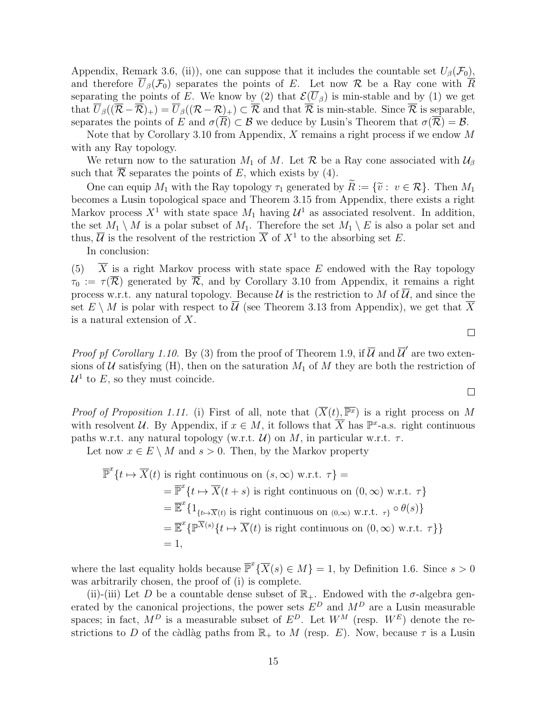Appendix, Remark 3.6, (ii)), one can suppose that it includes the countable set  $U_{\beta}(\mathcal{F}_0)$ , and therefore  $\overline{U}_{\beta}(\mathcal{F}_0)$  separates the points of E. Let now R be a Ray cone with  $\overline{R}$ separating the points of E. We know by (2) that  $\mathcal{E}(\overline{U}_{\beta})$  is min-stable and by (1) we get that  $\overline{U}_{\beta}((\overline{\mathcal{R}} - \overline{\mathcal{R}})_+) = \overline{U}_{\beta}((\mathcal{R} - \mathcal{R})_+) \subset \overline{\mathcal{R}}$  and that  $\overline{\mathcal{R}}$  is min-stable. Since  $\overline{\mathcal{R}}$  is separable, separates the points of E and  $\sigma(\overline{R}) \subset \mathcal{B}$  we deduce by Lusin's Theorem that  $\sigma(\overline{\mathcal{R}}) = \mathcal{B}$ .

Note that by Corollary 3.10 from Appendix, X remains a right process if we endow M with any Ray topology.

We return now to the saturation  $M_1$  of M. Let  $\mathcal R$  be a Ray cone associated with  $\mathcal U_\beta$ such that  $\overline{\mathcal{R}}$  separates the points of E, which exists by (4).

One can equip  $M_1$  with the Ray topology  $\tau_1$  generated by  $\tilde{R} := \{\tilde{v}: v \in \mathcal{R}\}\$ . Then  $M_1$ becomes a Lusin topological space and Theorem 3.15 from Appendix, there exists a right Markov process  $X^1$  with state space  $M_1$  having  $\mathcal{U}^1$  as associated resolvent. In addition, the set  $M_1 \setminus M$  is a polar subset of  $M_1$ . Therefore the set  $M_1 \setminus E$  is also a polar set and thus,  $\overline{\mathcal{U}}$  is the resolvent of the restriction  $\overline{X}$  of  $X^1$  to the absorbing set E.

In conclusion:

(5)  $\overline{X}$  is a right Markov process with state space E endowed with the Ray topology  $\tau_0 := \tau(\overline{\mathcal{R}})$  generated by  $\overline{\mathcal{R}}$ , and by Corollary 3.10 from Appendix, it remains a right process w.r.t. any natural topology. Because  $\mathcal U$  is the restriction to  $M$  of  $\overline{\mathcal U}$ , and since the set  $E \setminus M$  is polar with respect to U (see Theorem 3.13 from Appendix), we get that X is a natural extension of X.

*Proof pf Corollary 1.10.* By (3) from the proof of Theorem 1.9, if  $\overline{\mathcal{U}}$  and  $\overline{\mathcal{U}}'$  are two extensions of  $U$  satisfying (H), then on the saturation  $M_1$  of  $M$  they are both the restriction of  $\mathcal{U}^1$  to E, so they must coincide.

*Proof of Proposition 1.11.* (i) First of all, note that  $(\overline{X}(t), \overline{\mathbb{P}^x})$  is a right process on M with resolvent U. By Appendix, if  $x \in M$ , it follows that  $\overline{X}$  has  $\mathbb{P}^x$ -a.s. right continuous paths w.r.t. any natural topology (w.r.t.  $\mathcal{U}$ ) on M, in particular w.r.t.  $\tau$ .

Let now  $x \in E \setminus M$  and  $s > 0$ . Then, by the Markov property

$$
\overline{\mathbb{P}}^{x}\lbrace t \mapsto \overline{X}(t) \text{ is right continuous on } (s, \infty) \text{ w.r.t. } \tau \rbrace =
$$
\n
$$
= \overline{\mathbb{P}}^{x}\lbrace t \mapsto \overline{X}(t+s) \text{ is right continuous on } (0, \infty) \text{ w.r.t. } \tau \rbrace
$$
\n
$$
= \overline{\mathbb{E}}^{x}\lbrace 1_{\lbrace t \mapsto \overline{X}(t) \text{ is right continuous on } (0, \infty) \text{ w.r.t. } \tau \rbrace} \circ \theta(s) \rbrace
$$
\n
$$
= \overline{\mathbb{E}}^{x}\lbrace \mathbb{P}^{\overline{X}(s)}\lbrace t \mapsto \overline{X}(t) \text{ is right continuous on } (0, \infty) \text{ w.r.t. } \tau \rbrace \rbrace
$$
\n
$$
= 1,
$$

where the last equality holds because  $\overline{\mathbb{P}}^x \{ \overline{X}(s) \in M \} = 1$ , by Definition 1.6. Since  $s > 0$ was arbitrarily chosen, the proof of (i) is complete.

(ii)-(iii) Let D be a countable dense subset of  $\mathbb{R}_+$ . Endowed with the  $\sigma$ -algebra generated by the canonical projections, the power sets  $E^D$  and  $M^D$  are a Lusin measurable spaces; in fact,  $M^D$  is a measurable subset of  $E^D$ . Let  $W^M$  (resp.  $W^E$ ) denote the restrictions to D of the càdlàg paths from  $\mathbb{R}_+$  to M (resp. E). Now, because  $\tau$  is a Lusin

 $\Box$ 

 $\Box$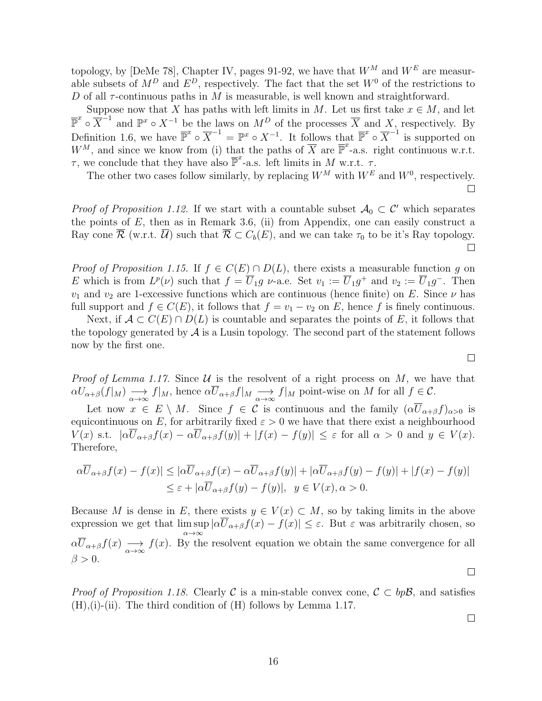topology, by [DeMe 78], Chapter IV, pages 91-92, we have that  $W^M$  and  $W^E$  are measurable subsets of  $M^D$  and  $E^D$ , respectively. The fact that the set  $W^0$  of the restrictions to D of all  $\tau$ -continuous paths in M is measurable, is well known and straightforward.

Suppose now that X has paths with left limits in M. Let us first take  $x \in M$ , and let  $\overline{\mathbb{P}}^x \circ \overline{X}^{-1}$  and  $\mathbb{P}^x \circ X^{-1}$  be the laws on  $M^D$  of the processes  $\overline{X}$  and X, respectively. By Definition 1.6, we have  $\overline{\mathbb{P}}^x \circ \overline{X}^{-1} = \mathbb{P}^x \circ X^{-1}$ . It follows that  $\overline{\mathbb{P}}^x \circ \overline{X}^{-1}$  is supported on  $W^M$ , and since we know from (i) that the paths of  $\overline{X}$  are  $\overline{\mathbb{P}}^x$ -a.s. right continuous w.r.t.  $\tau$ , we conclude that they have also  $\overline{\mathbb{P}}^x$ -a.s. left limits in M w.r.t.  $\tau$ .

The other two cases follow similarly, by replacing  $W^M$  with  $W^E$  and  $W^0$ , respectively.  $\Box$ 

*Proof of Proposition 1.12.* If we start with a countable subset  $A_0 \subset C'$  which separates the points of  $E$ , then as in Remark 3.6, (ii) from Appendix, one can easily construct a Ray cone  $\overline{\mathcal{R}}$  (w.r.t.  $\overline{\mathcal{U}}$ ) such that  $\mathcal{R} \subset C_b(E)$ , and we can take  $\tau_0$  to be it's Ray topology.  $\Box$ 

*Proof of Proposition 1.15.* If  $f \in C(E) \cap D(L)$ , there exists a measurable function q on E which is from  $L^p(\nu)$  such that  $f = \overline{U}_1 g \nu$ -a.e. Set  $v_1 := \overline{U}_1 g^+$  and  $v_2 := \overline{U}_1 g^-$ . Then  $v_1$  and  $v_2$  are 1-excessive functions which are continuous (hence finite) on E. Since  $\nu$  has full support and  $f \in C(E)$ , it follows that  $f = v_1 - v_2$  on E, hence f is finely continuous.

Next, if  $\mathcal{A} \subset C(E) \cap D(L)$  is countable and separates the points of E, it follows that the topology generated by  $\mathcal A$  is a Lusin topology. The second part of the statement follows now by the first one.

*Proof of Lemma 1.17.* Since  $U$  is the resolvent of a right process on  $M$ , we have that  $\alpha U_{\alpha+\beta}(f|_M) \longrightarrow_{\alpha \to \infty} f|_M$ , hence  $\alpha \overline{U}_{\alpha+\beta}f|_M \longrightarrow_{\alpha \to \infty} f|_M$  point-wise on M for all  $f \in \mathcal{C}$ .

Let now  $x \in E \setminus M$ . Since  $f \in C$  is continuous and the family  $(\alpha \overline{U}_{\alpha+\beta}f)_{\alpha>0}$  is equicontinuous on E, for arbitrarily fixed  $\varepsilon > 0$  we have that there exist a neighbourhood  $V(x)$  s.t.  $|\alpha \overline{U}_{\alpha+\beta}f(x)-\alpha \overline{U}_{\alpha+\beta}f(y)|+|f(x)-f(y)| \leq \varepsilon$  for all  $\alpha > 0$  and  $y \in V(x)$ . Therefore,

$$
\alpha \overline{U}_{\alpha+\beta}f(x) - f(x)| \leq |\alpha \overline{U}_{\alpha+\beta}f(x) - \alpha \overline{U}_{\alpha+\beta}f(y)| + |\alpha \overline{U}_{\alpha+\beta}f(y) - f(y)| + |f(x) - f(y)|
$$
  

$$
\leq \varepsilon + |\alpha \overline{U}_{\alpha+\beta}f(y) - f(y)|, \quad y \in V(x), \alpha > 0.
$$

Because M is dense in E, there exists  $y \in V(x) \subset M$ , so by taking limits in the above expression we get that  $\limsup |\alpha U_{\alpha+\beta}f(x)-f(x)| \leq \varepsilon$ . But  $\varepsilon$  was arbitrarily chosen, so  $\alpha \rightarrow \infty$  $\alpha \overline{U}_{\alpha+\beta}f(x) \longrightarrow f(x)$ . By the resolvent equation we obtain the same convergence for all  $\beta > 0$ .

*Proof of Proposition 1.18.* Clearly C is a min-stable convex cone,  $C \subset bp\mathcal{B}$ , and satisfies  $(H),$ (i)-(ii). The third condition of  $(H)$  follows by Lemma 1.17.

 $\Box$ 

 $\Box$ 

 $\Box$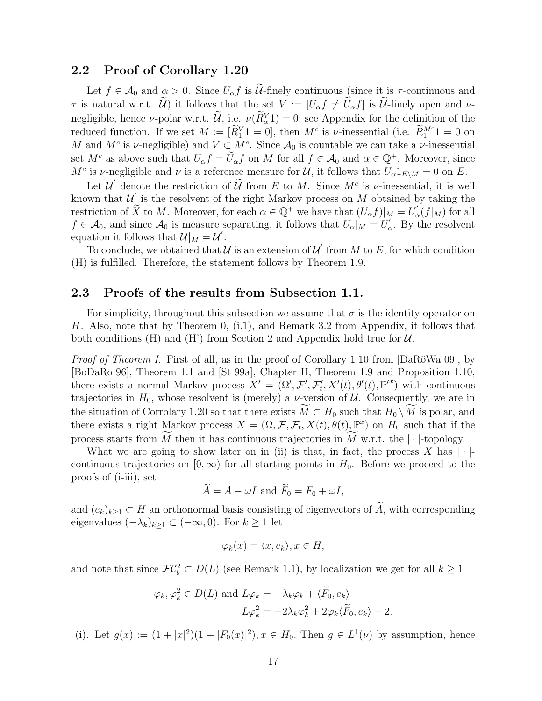### 2.2 Proof of Corollary 1.20

Let  $f \in \mathcal{A}_0$  and  $\alpha > 0$ . Since  $U_\alpha f$  is  $\mathcal{U}$ -finely continuous (since it is  $\tau$ -continuous and  $\tau$  is natural w.r.t.  $\widetilde{\mathcal{U}}$  it follows that the set  $V := [U_{\alpha} f \neq \widetilde{U}_{\alpha} f]$  is  $\widetilde{\mathcal{U}}$ -finely open and  $\nu$ negligible, hence  $\nu$ -polar w.r.t.  $\mathcal{U}$ , i.e.  $\nu(R_{\alpha}^{V}1) = 0$ ; see Appendix for the definition of the reduced function. If we set  $M := [\widetilde{R}_1^V 1 = 0]$ , then  $M^c$  is *v*-inessential (i.e.  $\widetilde{R}_1^{M^c} 1 = 0$  on M and  $M^c$  is v-negligible) and  $V \subset M^c$ . Since  $\mathcal{A}_0$  is countable we can take a v-inessential set  $M^c$  as above such that  $U_{\alpha} f = \tilde{U}_{\alpha} f$  on M for all  $f \in \mathcal{A}_0$  and  $\alpha \in \mathbb{Q}^+$ . Moreover, since M<sup>c</sup> is v-negligible and v is a reference measure for U, it follows that  $U_{\alpha}1_{E\setminus M}=0$  on E.

Let  $\mathcal{U}'$  denote the restriction of  $\widetilde{\mathcal{U}}$  from E to M. Since  $M^c$  is  $\nu$ -inessential, it is well known that  $\mathcal{U}'$  is the resolvent of the right Markov process on M obtained by taking the restriction of  $\widetilde{X}$  to M. Moreover, for each  $\alpha \in \mathbb{Q}^+$  we have that  $(U_{\alpha}f)|_{M} = U'_{c}$  $\int_{\alpha}^{\prime} (f|_M)$  for all  $f \in \mathcal{A}_0$ , and since  $\mathcal{A}_0$  is measure separating, it follows that  $U_\alpha|_M = U'_\alpha$ separating, it follows that  $U_{\alpha}|_M = U'_{\alpha}$ . By the resolvent equation it follows that  $\mathcal{U}|_M = \mathcal{U}'$ .

To conclude, we obtained that  $\mathcal U$  is an extension of  $\mathcal U'$  from M to E, for which condition (H) is fulfilled. Therefore, the statement follows by Theorem 1.9.

### 2.3 Proofs of the results from Subsection 1.1.

For simplicity, throughout this subsection we assume that  $\sigma$  is the identity operator on H. Also, note that by Theorem 0, (i.1), and Remark 3.2 from Appendix, it follows that both conditions (H) and (H') from Section 2 and Appendix hold true for  $\mathcal{U}$ .

*Proof of Theorem I.* First of all, as in the proof of Corollary 1.10 from  $[DaR\ddot{o}Wa\ 09]$ , by [BoDaRo 96], Theorem 1.1 and [St 99a], Chapter II, Theorem 1.9 and Proposition 1.10, there exists a normal Markov process  $X' = (\Omega', \mathcal{F}', \mathcal{F}'_t, X'(t), \theta'(t), \mathbb{P}'^x)$  with continuous trajectories in  $H_0$ , whose resolvent is (merely) a *v*-version of  $U$ . Consequently, we are in the situation of Corrolary 1.20 so that there exists  $\overline{M} \subset H_0$  such that  $H_0 \setminus \overline{M}$  is polar, and there exists a right Markov process  $X = (\Omega, \mathcal{F}, \mathcal{F}_t, X(t), \theta(t), \mathbb{P}^x)$  on  $H_0$  such that if the process starts from  $\widetilde{M}$  then it has continuous trajectories in  $\widetilde{M}$  w.r.t. the  $|\cdot|$ -topology.

What we are going to show later on in (ii) is that, in fact, the process X has  $|\cdot|$ continuous trajectories on  $[0, \infty)$  for all starting points in  $H_0$ . Before we proceed to the proofs of (i-iii), set

$$
\widetilde{A} = A - \omega I \text{ and } \widetilde{F}_0 = F_0 + \omega I,
$$

and  $(e_k)_{k\geq 1} \subset H$  an orthonormal basis consisting of eigenvectors of A, with corresponding eigenvalues  $(-\lambda_k)_{k\geq 1} \subset (-\infty,0)$ . For  $k \geq 1$  let

$$
\varphi_k(x) = \langle x, e_k \rangle, x \in H,
$$

and note that since  $\mathcal{F}\mathcal{C}_b^2 \subset D(L)$  (see Remark 1.1), by localization we get for all  $k \geq 1$ 

$$
\varphi_k, \varphi_k^2 \in D(L)
$$
 and  $L\varphi_k = -\lambda_k \varphi_k + \langle \widetilde{F}_0, e_k \rangle$   
 $L\varphi_k^2 = -2\lambda_k \varphi_k^2 + 2\varphi_k \langle \widetilde{F}_0, e_k \rangle + 2.$ 

(i). Let  $g(x) := (1 + |x|^2)(1 + |F_0(x)|^2), x \in H_0$ . Then  $g \in L^1(\nu)$  by assumption, hence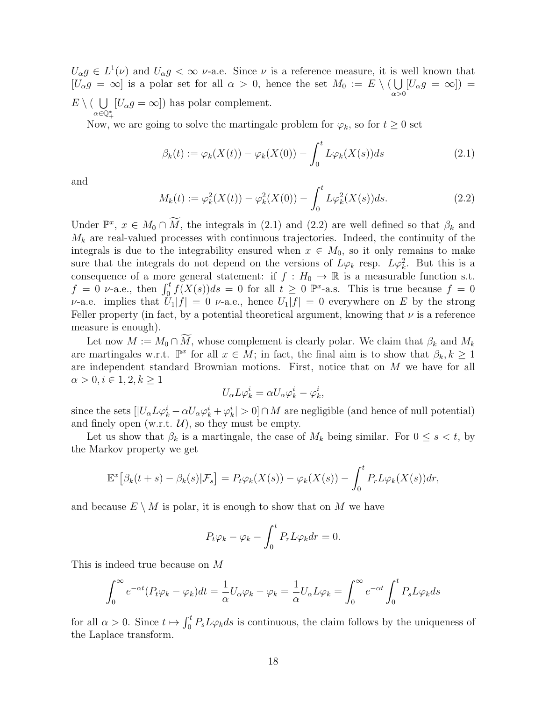$U_{\alpha}g \in L^{1}(\nu)$  and  $U_{\alpha}g < \infty$   $\nu$ -a.e. Since  $\nu$  is a reference measure, it is well known that  $[U_{\alpha}g] = \infty$  is a polar set for all  $\alpha > 0$ , hence the set  $M_0 := E \setminus (\bigcup$  $\alpha$ >0  $[U_{\alpha}g] = \infty]$  =  $E \setminus ($  U  $\alpha \in \mathbb{Q}^*_+$ +  $[U_{\alpha}g = \infty]$ ) has polar complement.

Now, we are going to solve the martingale problem for  $\varphi_k$ , so for  $t \geq 0$  set

$$
\beta_k(t) := \varphi_k(X(t)) - \varphi_k(X(0)) - \int_0^t L\varphi_k(X(s))ds \qquad (2.1)
$$

and

$$
M_k(t) := \varphi_k^2(X(t)) - \varphi_k^2(X(0)) - \int_0^t L\varphi_k^2(X(s))ds.
$$
 (2.2)

Under  $\mathbb{P}^x$ ,  $x \in M_0 \cap \widetilde{M}$ , the integrals in (2.1) and (2.2) are well defined so that  $\beta_k$  and  $M_k$  are real-valued processes with continuous trajectories. Indeed, the continuity of the integrals is due to the integrability ensured when  $x \in M_0$ , so it only remains to make sure that the integrals do not depend on the versions of  $L\varphi_k$  resp.  $L\varphi_k^2$ . But this is a consequence of a more general statement: if  $f : H_0 \to \mathbb{R}$  is a measurable function s.t.  $f = 0$  v-a.e., then  $\int_0^t f(X(s))ds = 0$  for all  $t \geq 0$   $\mathbb{P}^x$ -a.s. This is true because  $f = 0$ v-a.e. implies that  $U_1|f| = 0$  v-a.e., hence  $U_1|f| = 0$  everywhere on E by the strong Feller property (in fact, by a potential theoretical argument, knowing that  $\nu$  is a reference measure is enough).

Let now  $M := M_0 \cap \widetilde{M}$ , whose complement is clearly polar. We claim that  $\beta_k$  and  $M_k$ are martingales w.r.t.  $\mathbb{P}^x$  for all  $x \in M$ ; in fact, the final aim is to show that  $\beta_k, k \geq 1$ are independent standard Brownian motions. First, notice that on M we have for all  $\alpha > 0, i \in {1, 2, k \geq 1}$ 

$$
U_{\alpha}L\varphi^i_k = \alpha U_{\alpha}\varphi^i_k - \varphi^i_k,
$$

since the sets  $[|U_{\alpha}L\varphi_k^i - \alpha U_{\alpha}\varphi_k^i + \varphi_k^i| > 0] \cap M$  are negligible (and hence of null potential) and finely open (w.r.t.  $\mathcal{U}$ ), so they must be empty.

Let us show that  $\beta_k$  is a martingale, the case of  $M_k$  being similar. For  $0 \leq s \leq t$ , by the Markov property we get

$$
\mathbb{E}^x[\beta_k(t+s)-\beta_k(s)|\mathcal{F}_s] = P_t\varphi_k(X(s)) - \varphi_k(X(s)) - \int_0^t P_r L\varphi_k(X(s))dr,
$$

and because  $E \setminus M$  is polar, it is enough to show that on M we have

$$
P_t \varphi_k - \varphi_k - \int_0^t P_r L \varphi_k dr = 0.
$$

This is indeed true because on M

$$
\int_0^\infty e^{-\alpha t} (P_t \varphi_k - \varphi_k) dt = \frac{1}{\alpha} U_\alpha \varphi_k - \varphi_k = \frac{1}{\alpha} U_\alpha L \varphi_k = \int_0^\infty e^{-\alpha t} \int_0^t P_s L \varphi_k ds
$$

for all  $\alpha > 0$ . Since  $t \mapsto \int_0^t P_s L\varphi_k ds$  is continuous, the claim follows by the uniqueness of the Laplace transform.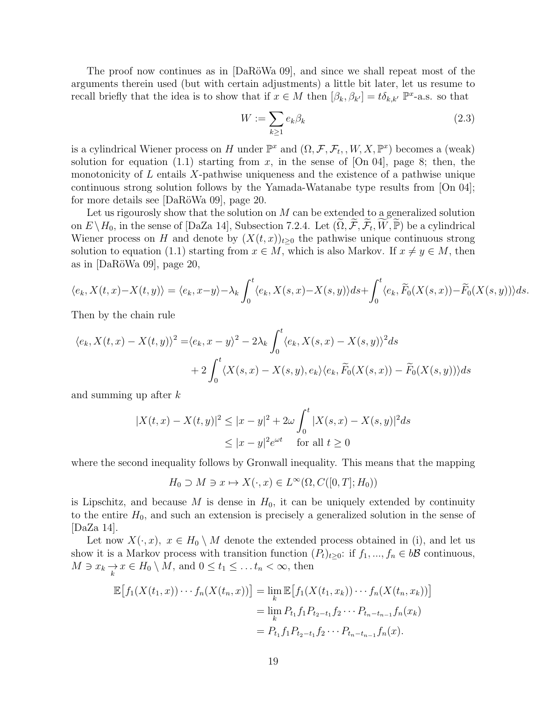The proof now continues as in [DaRöWa 09], and since we shall repeat most of the arguments therein used (but with certain adjustments) a little bit later, let us resume to recall briefly that the idea is to show that if  $x \in M$  then  $[\beta_k, \beta_{k'}] = t \delta_{k,k'} \mathbb{P}^{x}$ -a.s. so that

$$
W := \sum_{k \ge 1} e_k \beta_k \tag{2.3}
$$

is a cylindrical Wiener process on H under  $\mathbb{P}^x$  and  $(\Omega, \mathcal{F}, \mathcal{F}_t, W, X, \mathbb{P}^x)$  becomes a (weak) solution for equation (1.1) starting from x, in the sense of  $[On 04]$ , page 8; then, the monotonicity of  $L$  entails  $X$ -pathwise uniqueness and the existence of a pathwise unique continuous strong solution follows by the Yamada-Watanabe type results from [On 04]; for more details see  $[DaR\ddot{o}Wa\ 09]$ , page 20.

Let us rigourosly show that the solution on  $M$  can be extended to a generalized solution on  $E \setminus H_0$ , in the sense of [DaZa 14], Subsection 7.2.4. Let  $(\widetilde{\Omega}, \widetilde{\mathcal{F}}, \widetilde{\mathcal{F}}_t, \widetilde{W}, \widetilde{\mathbb{P}})$  be a cylindrical Wiener process on H and denote by  $(X(t, x))_{t>0}$  the pathwise unique continuous strong solution to equation (1.1) starting from  $x \in M$ , which is also Markov. If  $x \neq y \in M$ , then as in  $[DaRöWa 09]$ , page 20,

$$
\langle e_k, X(t, x) - X(t, y) \rangle = \langle e_k, x - y \rangle - \lambda_k \int_0^t \langle e_k, X(s, x) - X(s, y) \rangle ds + \int_0^t \langle e_k, \widetilde{F}_0(X(s, x)) - \widetilde{F}_0(X(s, y)) \rangle ds.
$$

Then by the chain rule

$$
\langle e_k, X(t, x) - X(t, y) \rangle^2 = \langle e_k, x - y \rangle^2 - 2\lambda_k \int_0^t \langle e_k, X(s, x) - X(s, y) \rangle^2 ds
$$
  
+ 
$$
2 \int_0^t \langle X(s, x) - X(s, y), e_k \rangle \langle e_k, \widetilde{F}_0(X(s, x)) - \widetilde{F}_0(X(s, y)) \rangle ds
$$

and summing up after k

$$
|X(t, x) - X(t, y)|^2 \le |x - y|^2 + 2\omega \int_0^t |X(s, x) - X(s, y)|^2 ds
$$
  
 
$$
\le |x - y|^2 e^{\omega t} \quad \text{for all } t \ge 0
$$

where the second inequality follows by Gronwall inequality. This means that the mapping

$$
H_0 \supset M \ni x \mapsto X(\cdot, x) \in L^{\infty}(\Omega, C([0, T]; H_0))
$$

is Lipschitz, and because M is dense in  $H_0$ , it can be uniquely extended by continuity to the entire  $H_0$ , and such an extension is precisely a generalized solution in the sense of [DaZa 14].

Let now  $X(\cdot, x)$ ,  $x \in H_0 \setminus M$  denote the extended process obtained in (i), and let us show it is a Markov process with transition function  $(P_t)_{t\geq 0}$ : if  $f_1, ..., f_n \in b\mathcal{B}$  continuous,  $M \ni x_k \underset{k}{\rightarrow} x \in H_0 \setminus M$ , and  $0 \le t_1 \le \dots t_n < \infty$ , then

$$
\mathbb{E}\big[f_1(X(t_1,x))\cdots f_n(X(t_n,x))\big] = \lim_k \mathbb{E}\big[f_1(X(t_1,x_k))\cdots f_n(X(t_n,x_k))\big]
$$
  
= 
$$
\lim_k P_{t_1} f_1 P_{t_2-t_1} f_2 \cdots P_{t_n-t_{n-1}} f_n(x_k)
$$
  
= 
$$
P_{t_1} f_1 P_{t_2-t_1} f_2 \cdots P_{t_n-t_{n-1}} f_n(x).
$$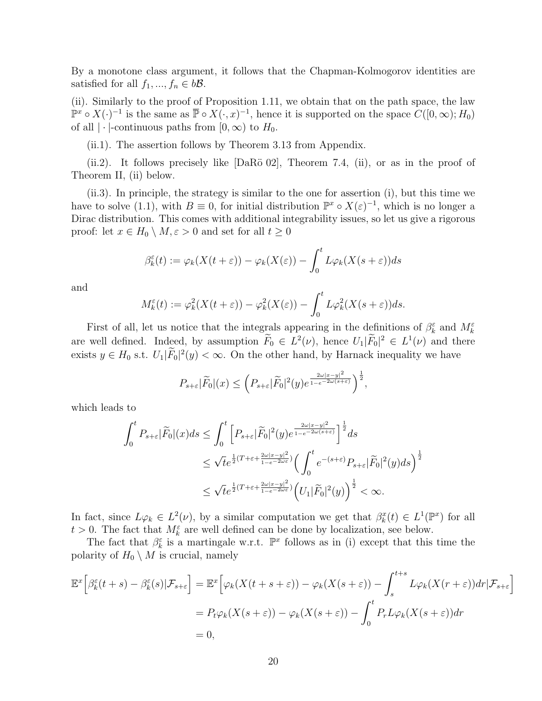By a monotone class argument, it follows that the Chapman-Kolmogorov identities are satisfied for all  $f_1, ..., f_n \in b\mathcal{B}$ .

(ii). Similarly to the proof of Proposition 1.11, we obtain that on the path space, the law  $\mathbb{P}^x \circ X(\cdot)^{-1}$  is the same as  $\overline{\mathbb{P}} \circ X(\cdot, x)^{-1}$ , hence it is supported on the space  $C([0, \infty); H_0)$ of all  $|\cdot|$ -continuous paths from  $[0,\infty)$  to  $H_0$ .

(ii.1). The assertion follows by Theorem 3.13 from Appendix.

(ii.2). It follows precisely like  $[DaR\ddot{o} 02]$ , Theorem 7.4, (ii), or as in the proof of Theorem II, (ii) below.

(ii.3). In principle, the strategy is similar to the one for assertion (i), but this time we have to solve (1.1), with  $B \equiv 0$ , for initial distribution  $\mathbb{P}^x \circ X(\varepsilon)^{-1}$ , which is no longer a Dirac distribution. This comes with additional integrability issues, so let us give a rigorous proof: let  $x \in H_0 \setminus M, \varepsilon > 0$  and set for all  $t \geq 0$ 

$$
\beta_k^{\varepsilon}(t) := \varphi_k(X(t+\varepsilon)) - \varphi_k(X(\varepsilon)) - \int_0^t L\varphi_k(X(s+\varepsilon))ds
$$

and

$$
M_k^{\varepsilon}(t) := \varphi_k^2(X(t+\varepsilon)) - \varphi_k^2(X(\varepsilon)) - \int_0^t L\varphi_k^2(X(s+\varepsilon))ds.
$$

First of all, let us notice that the integrals appearing in the definitions of  $\beta_k^{\varepsilon}$  and  $M_k^{\varepsilon}$ are well defined. Indeed, by assumption  $F_0 \in L^2(\nu)$ , hence  $U_1 | \tilde{F}_0|^2 \in L^1(\nu)$  and there exists  $y \in H_0$  s.t.  $U_1 | \overline{F}_0|^2(y) < \infty$ . On the other hand, by Harnack inequality we have

$$
P_{s+\varepsilon}|\widetilde{F}_0|(x)\leq \left(P_{s+\varepsilon}|\widetilde{F}_0|^2(y)e^{\frac{2\omega|x-y|^2}{1-e^{-2\omega(s+\varepsilon)}}}\right)^{\frac{1}{2}},
$$

which leads to

$$
\int_0^t P_{s+\varepsilon} |\widetilde{F}_0|(x)ds \le \int_0^t \left[ P_{s+\varepsilon} |\widetilde{F}_0|^2(y) e^{\frac{2\omega |x-y|^2}{1-e^{-2\omega (s+\varepsilon)}}} \right]^{\frac{1}{2}} ds
$$
  

$$
\le \sqrt{t} e^{\frac{1}{2}(T+\varepsilon+\frac{2\omega |x-y|^2}{1-e^{-2\omega \varepsilon}})} \left( \int_0^t e^{-(s+\varepsilon)} P_{s+\varepsilon} |\widetilde{F}_0|^2(y) ds \right)^{\frac{1}{2}}
$$
  

$$
\le \sqrt{t} e^{\frac{1}{2}(T+\varepsilon+\frac{2\omega |x-y|^2}{1-e^{-2\omega \varepsilon}})} \left( U_1 |\widetilde{F}_0|^2(y) \right)^{\frac{1}{2}} < \infty.
$$

In fact, since  $L\varphi_k \in L^2(\nu)$ , by a similar computation we get that  $\beta_k^x(t) \in L^1(\mathbb{P}^x)$  for all  $t > 0$ . The fact that  $M_k^{\varepsilon}$  are well defined can be done by localization, see below.

The fact that  $\beta_k^{\varepsilon}$  is a martingale w.r.t.  $\mathbb{P}^x$  follows as in (i) except that this time the polarity of  $H_0 \setminus M$  is crucial, namely

$$
\mathbb{E}^{x}\Big[\beta_{k}^{\varepsilon}(t+s)-\beta_{k}^{\varepsilon}(s)|\mathcal{F}_{s+\varepsilon}\Big] = \mathbb{E}^{x}\Big[\varphi_{k}(X(t+s+\varepsilon))-\varphi_{k}(X(s+\varepsilon))-\int_{s}^{t+s}L\varphi_{k}(X(r+\varepsilon))dr|\mathcal{F}_{s+\varepsilon}\Big]
$$
  
=  $P_{t}\varphi_{k}(X(s+\varepsilon))-\varphi_{k}(X(s+\varepsilon))-\int_{0}^{t}P_{r}L\varphi_{k}(X(s+\varepsilon))dr$   
= 0,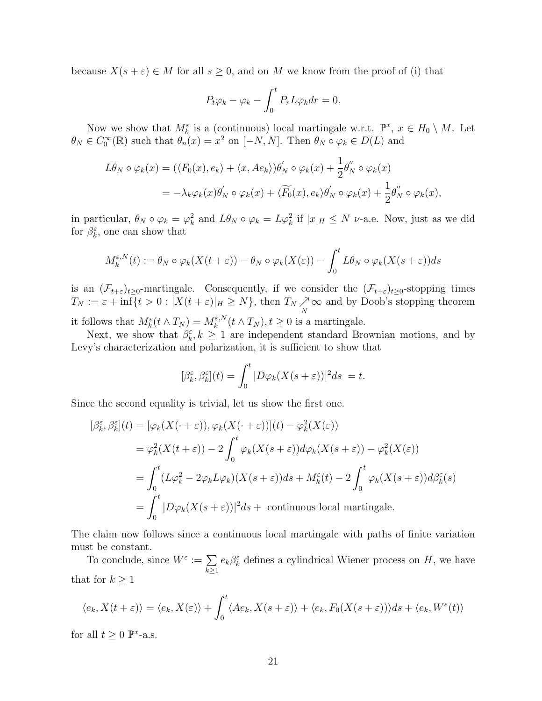because  $X(s + \varepsilon) \in M$  for all  $s \geq 0$ , and on M we know from the proof of (i) that

$$
P_t \varphi_k - \varphi_k - \int_0^t P_r L \varphi_k dr = 0.
$$

Now we show that  $M_k^{\varepsilon}$  is a (continuous) local martingale w.r.t.  $\mathbb{P}^x$ ,  $x \in H_0 \setminus M$ . Let  $\theta_N \in C_0^{\infty}(\mathbb{R})$  such that  $\theta_n(x) = x^2$  on  $[-N, N]$ . Then  $\theta_N \circ \varphi_k \in D(L)$  and

$$
L\theta_N \circ \varphi_k(x) = (\langle F_0(x), e_k \rangle + \langle x, Ae_k \rangle) \theta'_N \circ \varphi_k(x) + \frac{1}{2} \theta''_N \circ \varphi_k(x)
$$
  
=  $-\lambda_k \varphi_k(x) \theta'_N \circ \varphi_k(x) + \langle \widetilde{F_0}(x), e_k \rangle \theta'_N \circ \varphi_k(x) + \frac{1}{2} \theta''_N \circ \varphi_k(x),$ 

in particular,  $\theta_N \circ \varphi_k = \varphi_k^2$  and  $L\theta_N \circ \varphi_k = L\varphi_k^2$  if  $|x|_H \leq N$  v-a.e. Now, just as we did for  $\beta_k^{\varepsilon}$ , one can show that

$$
M_k^{\varepsilon,N}(t) := \theta_N \circ \varphi_k(X(t+\varepsilon)) - \theta_N \circ \varphi_k(X(\varepsilon)) - \int_0^t L\theta_N \circ \varphi_k(X(s+\varepsilon))ds
$$

is an  $(\mathcal{F}_{t+\varepsilon})_{t\geq0}$ -martingale. Consequently, if we consider the  $(\mathcal{F}_{t+\varepsilon})_{t\geq0}$ -stopping times  $T_N := \varepsilon + \inf\{t > 0 : |X(t+\varepsilon)|_H \ge N\}$ , then  $T_N \underset{N}{\nearrow}$  $\infty$  and by Doob's stopping theorem it follows that  $M_k^{\varepsilon}(t \wedge T_N) = M_k^{\varepsilon, N}$  $\mathcal{L}_{k}^{\varepsilon, N}(t \wedge T_N), t \geq 0$  is a martingale.

Next, we show that  $\beta_k^{\varepsilon}, k \geq 1$  are independent standard Brownian motions, and by Levy's characterization and polarization, it is sufficient to show that

$$
[\beta_k^{\varepsilon}, \beta_k^{\varepsilon}](t) = \int_0^t |D\varphi_k(X(s+\varepsilon))|^2 ds = t.
$$

Since the second equality is trivial, let us show the first one.

$$
[\beta_k^{\varepsilon}, \beta_k^{\varepsilon}](t) = [\varphi_k(X(\cdot + \varepsilon)), \varphi_k(X(\cdot + \varepsilon))](t) - \varphi_k^2(X(\varepsilon))
$$
  
\n
$$
= \varphi_k^2(X(t + \varepsilon)) - 2 \int_0^t \varphi_k(X(s + \varepsilon)) d\varphi_k(X(s + \varepsilon)) - \varphi_k^2(X(\varepsilon))
$$
  
\n
$$
= \int_0^t (L\varphi_k^2 - 2\varphi_k L\varphi_k)(X(s + \varepsilon))ds + M_k^{\varepsilon}(t) - 2 \int_0^t \varphi_k(X(s + \varepsilon))d\beta_k^{\varepsilon}(s)
$$
  
\n
$$
= \int_0^t |D\varphi_k(X(s + \varepsilon))|^2 ds + \text{ continuous local martingale.}
$$

The claim now follows since a continuous local martingale with paths of finite variation must be constant.

To conclude, since  $W^{\varepsilon} := \sum$  $k\geq 1$  $e_k \beta_k^{\varepsilon}$  defines a cylindrical Wiener process on H, we have that for  $k \geq 1$ 

$$
\langle e_k, X(t+\varepsilon) \rangle = \langle e_k, X(\varepsilon) \rangle + \int_0^t \langle Ae_k, X(s+\varepsilon) \rangle + \langle e_k, F_0(X(s+\varepsilon)) \rangle ds + \langle e_k, W^{\varepsilon}(t) \rangle
$$

for all  $t \geq 0$   $\mathbb{P}^x$ -a.s.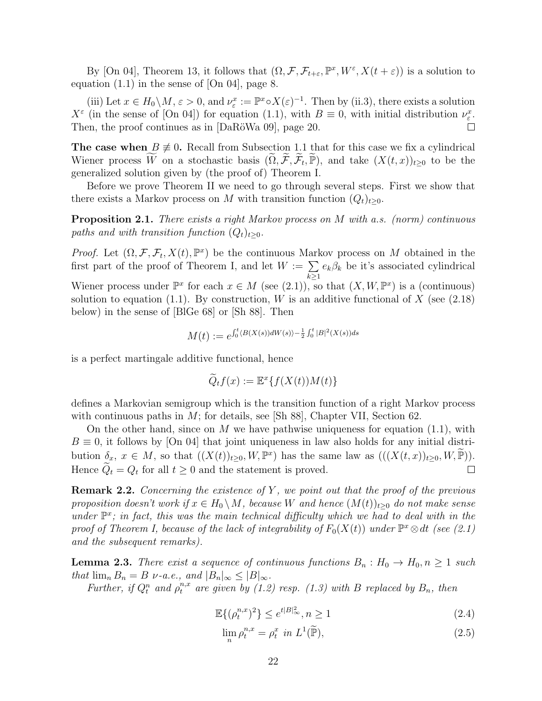By [On 04], Theorem 13, it follows that  $(\Omega, \mathcal{F}, \mathcal{F}_{t+\varepsilon}, \mathbb{P}^x, W^{\varepsilon}, X(t+\varepsilon))$  is a solution to equation (1.1) in the sense of [On 04], page 8.

(iii) Let  $x \in H_0 \setminus M$ ,  $\varepsilon > 0$ , and  $\nu_{\varepsilon}^x := \mathbb{P}^x \circ X(\varepsilon)^{-1}$ . Then by (ii.3), there exists a solution  $X^{\varepsilon}$  (in the sense of [On 04]) for equation (1.1), with  $B \equiv 0$ , with initial distribution  $\nu_{\varepsilon}^{x}$ . Then, the proof continues as in  $[DaRöWa 09]$ , page 20.  $\Box$ 

The case when  $B \neq 0$ . Recall from Subsection 1.1 that for this case we fix a cylindrical Wiener process  $\widetilde{W}$  on a stochastic basis  $(\widetilde{\Omega}, \widetilde{\mathcal{F}}, \widetilde{\mathcal{F}}_t, \widetilde{\mathbb{P}})$ , and take  $(X(t, x))_{t \geq 0}$  to be the generalized solution given by (the proof of) Theorem I.

Before we prove Theorem II we need to go through several steps. First we show that there exists a Markov process on M with transition function  $(Q_t)_{t>0}$ .

Proposition 2.1. There exists a right Markov process on M with a.s. (norm) continuous paths and with transition function  $(Q_t)_{t\geq0}$ .

*Proof.* Let  $(\Omega, \mathcal{F}, \mathcal{F}_t, X(t), \mathbb{P}^x)$  be the continuous Markov process on M obtained in the first part of the proof of Theorem I, and let  $W := \sum$  $k\geq 1$  $e_k \beta_k$  be it's associated cylindrical Wiener process under  $\mathbb{P}^x$  for each  $x \in M$  (see (2.1)), so that  $(X, W, \mathbb{P}^x)$  is a (continuous) solution to equation (1.1). By construction, W is an additive functional of X (see  $(2.18)$ ) below) in the sense of [BlGe 68] or [Sh 88]. Then

$$
M(t) := e^{\int_0^t \langle B(X(s))dW(s) \rangle - \frac{1}{2} \int_0^t |B|^2(X(s))ds}
$$

is a perfect martingale additive functional, hence

$$
\widetilde{Q}_t f(x) := \mathbb{E}^x \{ f(X(t))M(t) \}
$$

defines a Markovian semigroup which is the transition function of a right Markov process with continuous paths in  $M$ ; for details, see [Sh 88], Chapter VII, Section 62.

On the other hand, since on M we have pathwise uniqueness for equation  $(1.1)$ , with  $B \equiv 0$ , it follows by [On 04] that joint uniqueness in law also holds for any initial distribution  $\delta_x, x \in M$ , so that  $((X(t))_{t\geq 0}, W, \mathbb{P}^x)$  has the same law as  $(((X(t,x))_{t\geq 0}, W, \widetilde{\mathbb{P}})).$ Hence  $Q_t = Q_t$  for all  $t \geq 0$  and the statement is proved.

**Remark 2.2.** Concerning the existence of Y, we point out that the proof of the previous proposition doesn't work if  $x \in H_0 \setminus M$ , because W and hence  $(M(t))_{t \geq 0}$  do not make sense under  $\mathbb{P}^x$ ; in fact, this was the main technical difficulty which we had to deal with in the proof of Theorem I, because of the lack of integrability of  $F_0(X(t))$  under  $\mathbb{P}^x \otimes dt$  (see (2.1) and the subsequent remarks).

**Lemma 2.3.** There exist a sequence of continuous functions  $B_n : H_0 \to H_0, n \geq 1$  such that  $\lim_{n} B_n = B \nu$ -a.e., and  $|B_n|_{\infty} \leq |B|_{\infty}$ .

Further, if  $Q_t^n$  and  $\rho_t^{n,x}$  are given by (1.2) resp. (1.3) with B replaced by  $B_n$ , then

$$
\mathbb{E}\{(\rho_t^{n,x})^2\} \le e^{t|B|_{\infty}^2}, n \ge 1
$$
\n(2.4)

$$
\lim_{n} \rho_t^{n,x} = \rho_t^x \text{ in } L^1(\widetilde{\mathbb{P}}),\tag{2.5}
$$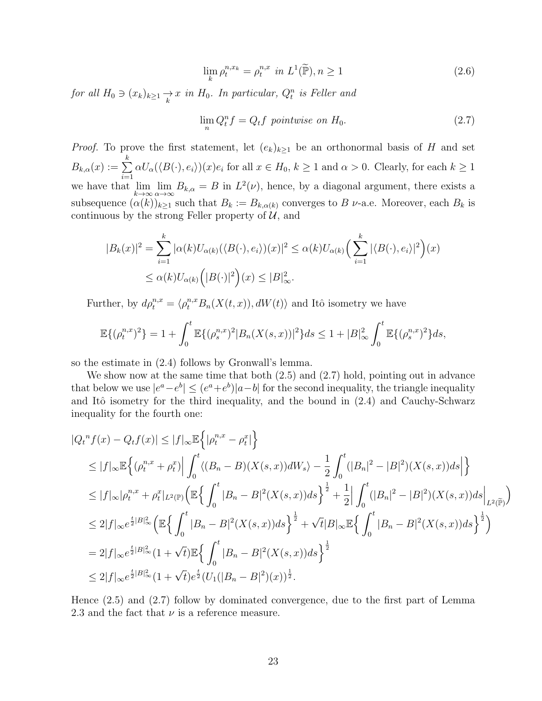$$
\lim_{k} \rho_t^{n,x_k} = \rho_t^{n,x} \text{ in } L^1(\widetilde{\mathbb{P}}), n \ge 1
$$
\n(2.6)

for all  $H_0 \ni (x_k)_{k \geq 1} \rightarrow x$  in  $H_0$ . In particular,  $Q_t^n$  is Feller and

$$
\lim_{n} Q_{t}^{n} f = Q_{t} f \text{ pointwise on } H_{0}. \tag{2.7}
$$

*Proof.* To prove the first statement, let  $(e_k)_{k\geq 1}$  be an orthonormal basis of H and set  $B_{k,\alpha}(x) := \sum^{k}$  $i=1$  $\alpha U_{\alpha}(\langle B(\cdot), e_i \rangle)(x)e_i$  for all  $x \in H_0, k \ge 1$  and  $\alpha > 0$ . Clearly, for each  $k \ge 1$ we have that  $\lim_{k\to\infty} \lim_{\alpha\to\infty} B_{k,\alpha} = B$  in  $L^2(\nu)$ , hence, by a diagonal argument, there exists a subsequence  $(\alpha(k))_{k\geq 1}$  such that  $B_k := B_{k,\alpha(k)}$  converges to B  $\nu$ -a.e. Moreover, each  $B_k$  is continuous by the strong Feller property of  $\mathcal{U}$ , and

$$
|B_k(x)|^2 = \sum_{i=1}^k |\alpha(k)U_{\alpha(k)}(\langle B(\cdot), e_i \rangle)(x)|^2 \le \alpha(k)U_{\alpha(k)}\left(\sum_{i=1}^k |\langle B(\cdot), e_i \rangle|^2\right)(x)
$$
  

$$
\le \alpha(k)U_{\alpha(k)}\left(|B(\cdot)|^2\right)(x) \le |B|_{\infty}^2.
$$

Further, by  $d\rho_t^{n,x} = \langle \rho_t^{n,x} B_n(X(t,x)), dW(t) \rangle$  and Itô isometry we have

$$
\mathbb{E}\{(\rho_t^{n,x})^2\} = 1 + \int_0^t \mathbb{E}\{(\rho_s^{n,x})^2 |B_n(X(s,x))|^2\} ds \le 1 + |B|_\infty^2 \int_0^t \mathbb{E}\{(\rho_s^{n,x})^2\} ds,
$$

so the estimate in (2.4) follows by Gronwall's lemma.

We show now at the same time that both  $(2.5)$  and  $(2.7)$  hold, pointing out in advance that below we use  $|e^a - e^b| \le (e^a + e^b)|a - b|$  for the second inequality, the triangle inequality and Itô isometry for the third inequality, and the bound in  $(2.4)$  and Cauchy-Schwarz inequality for the fourth one:

$$
|Q_t^n f(x) - Q_t f(x)| \le |f|_{\infty} \mathbb{E} \left\{ |\rho_t^{n,x} - \rho_t^x| \right\}
$$
  
\n
$$
\le |f|_{\infty} \mathbb{E} \left\{ (\rho_t^{n,x} + \rho_t^x) \Big| \int_0^t \langle (B_n - B)(X(s, x))dW_s \rangle - \frac{1}{2} \int_0^t (|B_n|^2 - |B|^2)(X(s, x))ds \Big| \right\}
$$
  
\n
$$
\le |f|_{\infty} |\rho_t^{n,x} + \rho_t^x|_{L^2(\mathbb{P})} \Big( \mathbb{E} \left\{ \int_0^t |B_n - B|^2(X(s, x))ds \right\}^{\frac{1}{2}} + \frac{1}{2} \Big| \int_0^t (|B_n|^2 - |B|^2)(X(s, x))ds \Big|_{L^2(\widetilde{\mathbb{P}})} \Big)
$$
  
\n
$$
\le 2|f|_{\infty} e^{\frac{t}{2}|B|_{\infty}^2} \Big( \mathbb{E} \left\{ \int_0^t |B_n - B|^2(X(s, x))ds \right\}^{\frac{1}{2}} + \sqrt{t}|B|_{\infty} \mathbb{E} \left\{ \int_0^t |B_n - B|^2(X(s, x))ds \right\}^{\frac{1}{2}} \Big)
$$
  
\n
$$
= 2|f|_{\infty} e^{\frac{t}{2}|B|_{\infty}^2} (1 + \sqrt{t}) \mathbb{E} \left\{ \int_0^t |B_n - B|^2(X(s, x))ds \right\}^{\frac{1}{2}}
$$
  
\n
$$
\le 2|f|_{\infty} e^{\frac{t}{2}|B|_{\infty}^2} (1 + \sqrt{t}) e^{\frac{t}{2}} (U_1(|B_n - B|^2)(x))^{\frac{1}{2}}.
$$

Hence (2.5) and (2.7) follow by dominated convergence, due to the first part of Lemma 2.3 and the fact that  $\nu$  is a reference measure.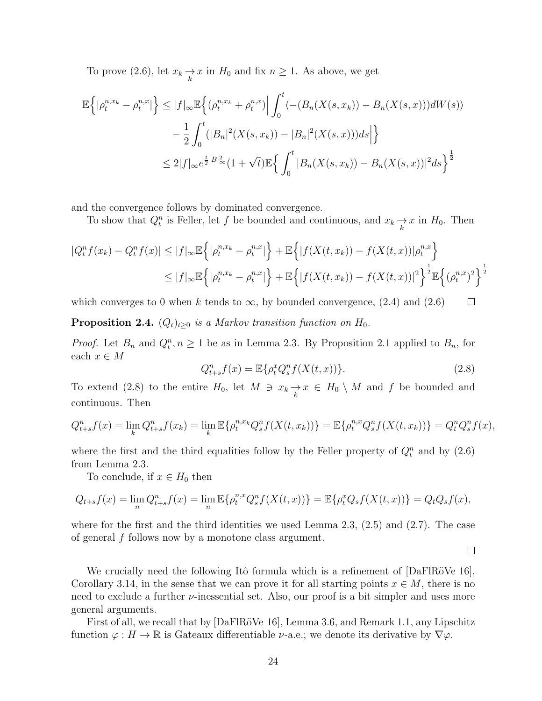To prove (2.6), let  $x_k \underset{k}{\to} x$  in  $H_0$  and fix  $n \ge 1$ . As above, we get

$$
\mathbb{E}\left\{|\rho_t^{n,x_k} - \rho_t^{n,x}|\right\} \le |f|_{\infty} \mathbb{E}\left\{(\rho_t^{n,x_k} + \rho_t^{n,x})\Big| \int_0^t \langle -(B_n(X(s,x_k)) - B_n(X(s,x)))dW(s) \rangle \right.\quad - \frac{1}{2} \int_0^t (|B_n|^2(X(s,x_k)) - |B_n|^2(X(s,x)))ds \Big|\right\}\le 2|f|_{\infty} e^{\frac{t}{2}|B|_{\infty}^2} (1 + \sqrt{t}) \mathbb{E}\left\{ \int_0^t |B_n(X(s,x_k)) - B_n(X(s,x))|^2 ds \right\}^{\frac{1}{2}}
$$

and the convergence follows by dominated convergence.

To show that  $Q_t^n$  is Feller, let f be bounded and continuous, and  $x_k \underset{k}{\rightarrow} x$  in  $H_0$ . Then

$$
|Q_t^n f(x_k) - Q_t^n f(x)| \le |f|_{\infty} \mathbb{E}\left\{| \rho_t^{n,x_k} - \rho_t^{n,x}|\right\} + \mathbb{E}\left\{|f(X(t, x_k)) - f(X(t, x))| \rho_t^{n,x}\right\}
$$
  

$$
\le |f|_{\infty} \mathbb{E}\left\{| \rho_t^{n,x_k} - \rho_t^{n,x}|\right\} + \mathbb{E}\left\{|f(X(t, x_k)) - f(X(t, x))|^2\right\}^{\frac{1}{2}} \mathbb{E}\left\{| (\rho_t^{n,x})^2\right\}^{\frac{1}{2}}
$$

which converges to 0 when k tends to  $\infty$ , by bounded convergence, (2.4) and (2.6)  $\Box$ 

**Proposition 2.4.**  $(Q_t)_{t\geq0}$  is a Markov transition function on  $H_0$ .

*Proof.* Let  $B_n$  and  $Q_t^n, n \ge 1$  be as in Lemma 2.3. By Proposition 2.1 applied to  $B_n$ , for each $x\in M$ 

$$
Q_{t+s}^n f(x) = \mathbb{E}\{\rho_t^x Q_s^n f(X(t,x))\}.
$$
\n(2.8)

 $\Box$ 

To extend (2.8) to the entire  $H_0$ , let  $M \ni x_k \to x \in H_0 \setminus M$  and f be bounded and continuous. Then

$$
Q_{t+s}^n f(x) = \lim_k Q_{t+s}^n f(x_k) = \lim_k \mathbb{E}\{\rho_t^{n,x_k} Q_s^n f(X(t,x_k))\} = \mathbb{E}\{\rho_t^{n,x} Q_s^n f(X(t,x_k))\} = Q_t^n Q_s^n f(x),
$$

where the first and the third equalities follow by the Feller property of  $Q_t^n$  and by  $(2.6)$ from Lemma 2.3.

To conclude, if  $x \in H_0$  then

$$
Q_{t+s}f(x) = \lim_{n} Q_{t+s}^n f(x) = \lim_{n} \mathbb{E}\{\rho_t^{n,x} Q_s^n f(X(t,x))\} = \mathbb{E}\{\rho_t^x Q_s f(X(t,x))\} = Q_t Q_s f(x),
$$

where for the first and the third identities we used Lemma 2.3,  $(2.5)$  and  $(2.7)$ . The case of general f follows now by a monotone class argument.

We crucially need the following Itô formula which is a refinement of  $[DaFIRöVe 16]$ , Corollary 3.14, in the sense that we can prove it for all starting points  $x \in M$ , there is no need to exclude a further  $\nu$ -inessential set. Also, our proof is a bit simpler and uses more general arguments.

First of all, we recall that by  $[Da$ FlRöVe 16, Lemma 3.6, and Remark 1.1, any Lipschitz function  $\varphi : H \to \mathbb{R}$  is Gateaux differentiable  $\nu$ -a.e.; we denote its derivative by  $\nabla \varphi$ .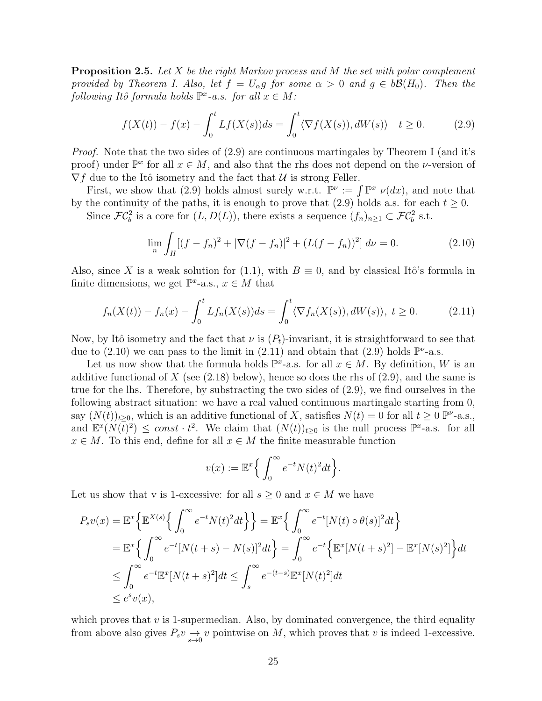**Proposition 2.5.** Let X be the right Markov process and M the set with polar complement provided by Theorem I. Also, let  $f = U_{\alpha}g$  for some  $\alpha > 0$  and  $g \in b\mathcal{B}(H_0)$ . Then the following Itô formula holds  $\mathbb{P}^x$ -a.s. for all  $x \in M$ :

$$
f(X(t)) - f(x) - \int_0^t Lf(X(s))ds = \int_0^t \langle \nabla f(X(s)), dW(s) \rangle \quad t \ge 0. \tag{2.9}
$$

Proof. Note that the two sides of  $(2.9)$  are continuous martingales by Theorem I (and it's proof) under  $\mathbb{P}^x$  for all  $x \in M$ , and also that the rhs does not depend on the *v*-version of  $\nabla f$  due to the Itô isometry and the fact that  $\mathcal U$  is strong Feller.

First, we show that (2.9) holds almost surely w.r.t.  $\mathbb{P}^{\nu} := \int \mathbb{P}^{x} \nu(dx)$ , and note that by the continuity of the paths, it is enough to prove that (2.9) holds a.s. for each  $t \geq 0$ . Since  $\mathcal{FC}_b^2$  is a core for  $(L, D(L))$ , there exists a sequence  $(f_n)_{n\geq 1} \subset \mathcal{FC}_b^2$  s.t.

$$
\lim_{n} \int_{H} [(f - f_n)^2 + |\nabla (f - f_n)|^2 + (L(f - f_n))^2] d\nu = 0.
$$
 (2.10)

Also, since X is a weak solution for (1.1), with  $B \equiv 0$ , and by classical Itô's formula in finite dimensions, we get  $\mathbb{P}^{x}$ -a.s.,  $x \in M$  that

$$
f_n(X(t)) - f_n(x) - \int_0^t Lf_n(X(s))ds = \int_0^t \langle \nabla f_n(X(s)), dW(s) \rangle, \ t \ge 0. \tag{2.11}
$$

Now, by Itô isometry and the fact that  $\nu$  is  $(P_t)$ -invariant, it is straightforward to see that due to (2.10) we can pass to the limit in (2.11) and obtain that (2.9) holds  $\mathbb{P}^{\nu}$ -a.s.

Let us now show that the formula holds  $\mathbb{P}^x$ -a.s. for all  $x \in M$ . By definition, W is an additive functional of X (see  $(2.18)$  below), hence so does the rhs of  $(2.9)$ , and the same is true for the lhs. Therefore, by substracting the two sides of (2.9), we find ourselves in the following abstract situation: we have a real valued continuous martingale starting from 0, say  $(N(t))_{t\geq0}$ , which is an additive functional of X, satisfies  $N(t) = 0$  for all  $t \geq 0$  P<sup> $\nu$ </sup>-a.s., and  $\mathbb{E}^x(N(\overline{t})^2) \leq const \cdot t^2$ . We claim that  $(N(t))_{t \geq 0}$  is the null process  $\mathbb{P}^x$ -a.s. for all  $x \in M$ . To this end, define for all  $x \in M$  the finite measurable function

$$
v(x) := \mathbb{E}^x \Big\{ \int_0^\infty e^{-t} N(t)^2 dt \Big\}.
$$

Let us show that v is 1-excessive: for all  $s \geq 0$  and  $x \in M$  we have

$$
P_s v(x) = \mathbb{E}^x \Big\{ \mathbb{E}^{X(s)} \Big\{ \int_0^\infty e^{-t} N(t)^2 dt \Big\} \Big\} = \mathbb{E}^x \Big\{ \int_0^\infty e^{-t} [N(t) \circ \theta(s)]^2 dt \Big\}
$$
  
\n
$$
= \mathbb{E}^x \Big\{ \int_0^\infty e^{-t} [N(t+s) - N(s)]^2 dt \Big\} = \int_0^\infty e^{-t} \Big\{ \mathbb{E}^x [N(t+s)^2] - \mathbb{E}^x [N(s)^2] \Big\} dt
$$
  
\n
$$
\leq \int_0^\infty e^{-t} \mathbb{E}^x [N(t+s)^2] dt \leq \int_s^\infty e^{-(t-s)} \mathbb{E}^x [N(t)^2] dt
$$
  
\n
$$
\leq e^s v(x),
$$

which proves that  $v$  is 1-supermedian. Also, by dominated convergence, the third equality from above also gives  $P_s v \rightarrow v$  pointwise on M, which proves that v is indeed 1-excessive.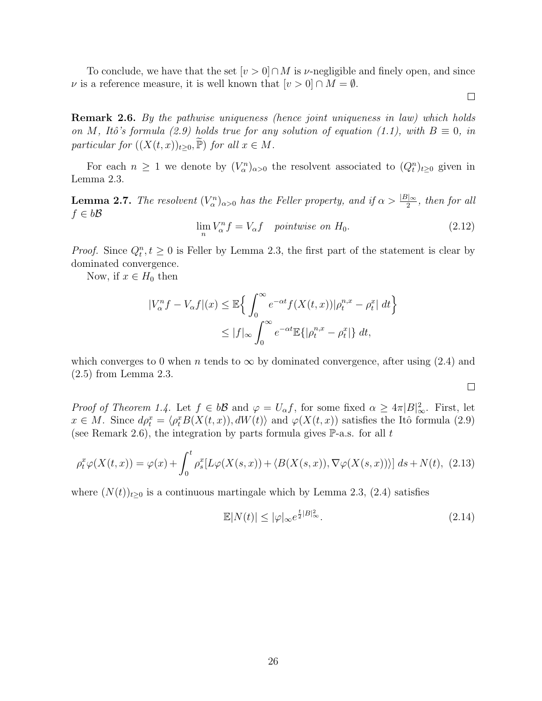To conclude, we have that the set  $[v > 0] \cap M$  is v-negligible and finely open, and since v is a reference measure, it is well known that  $[v > 0] \cap M = \emptyset$ .

**Remark 2.6.** By the pathwise uniqueness (hence joint uniqueness in law) which holds on M, Itô's formula (2.9) holds true for any solution of equation (1.1), with  $B \equiv 0$ , in particular for  $((X(t,x))_{t\geq0}, \widetilde{P})$  for all  $x \in M$ .

For each  $n \geq 1$  we denote by  $(V_\alpha^n)_{\alpha>0}$  the resolvent associated to  $(Q_t^n)_{t\geq0}$  given in Lemma 2.3.

**Lemma 2.7.** The resolvent  $(V_\alpha^n)_{\alpha>0}$  has the Feller property, and if  $\alpha > \frac{|B|_{\infty}}{2}$ , then for all  $f \in b\mathcal{B}$ 

 $\lim_{n} V_{\alpha}^{n} f = V_{\alpha} f$  pointwise on  $H_0$ . (2.12)

*Proof.* Since  $Q_t^n, t \geq 0$  is Feller by Lemma 2.3, the first part of the statement is clear by dominated convergence.

Now, if  $x \in H_0$  then

$$
|V_{\alpha}^{n}f - V_{\alpha}f|(x) \leq \mathbb{E}\left\{\int_{0}^{\infty} e^{-\alpha t} f(X(t, x))|\rho_{t}^{n,x} - \rho_{t}^{x}| dt\right\}
$$

$$
\leq |f|_{\infty} \int_{0}^{\infty} e^{-\alpha t} \mathbb{E}\{|\rho_{t}^{n,x} - \rho_{t}^{x}|\} dt,
$$

which converges to 0 when *n* tends to  $\infty$  by dominated convergence, after using (2.4) and (2.5) from Lemma 2.3.

 $\Box$ 

 $\Box$ 

*Proof of Theorem 1.4.* Let  $f \in b\mathcal{B}$  and  $\varphi = U_{\alpha}f$ , for some fixed  $\alpha \geq 4\pi |B|_{\infty}^2$ . First, let  $x \in M$ . Since  $d\rho_t^x = \langle \rho_t^x B(X(t, x)), dW(t) \rangle$  and  $\varphi(X(t, x))$  satisfies the Itô formula (2.9) (see Remark 2.6), the integration by parts formula gives  $\mathbb{P}\text{-a.s.}$  for all t

$$
\rho_t^x \varphi(X(t,x)) = \varphi(x) + \int_0^t \rho_s^x [L\varphi(X(s,x)) + \langle B(X(s,x)), \nabla \varphi(X(s,x)) \rangle] ds + N(t), \tag{2.13}
$$

where  $(N(t))_{t\geq0}$  is a continuous martingale which by Lemma 2.3, (2.4) satisfies

$$
\mathbb{E}|N(t)| \le |\varphi|_{\infty} e^{\frac{t}{2}|B|_{\infty}^{2}}.
$$
\n(2.14)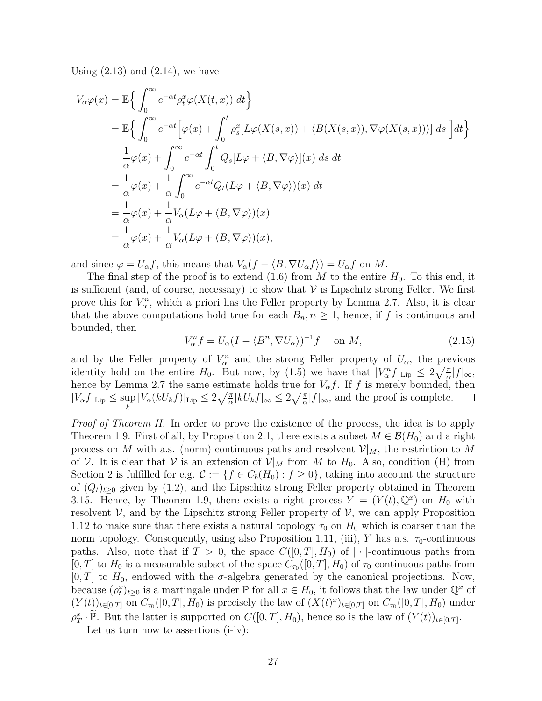Using  $(2.13)$  and  $(2.14)$ , we have

$$
V_{\alpha}\varphi(x) = \mathbb{E}\Big\{\int_0^{\infty} e^{-\alpha t} \rho_t^x \varphi(X(t, x)) dt \Big\}= \mathbb{E}\Big\{\int_0^{\infty} e^{-\alpha t} \Big[\varphi(x) + \int_0^t \rho_s^x [L\varphi(X(s, x)) + \langle B(X(s, x)), \nabla \varphi(X(s, x))\rangle] ds \Big] dt \Big\}= \frac{1}{\alpha}\varphi(x) + \int_0^{\infty} e^{-\alpha t} \int_0^t Q_s [L\varphi + \langle B, \nabla \varphi \rangle](x) ds dt= \frac{1}{\alpha}\varphi(x) + \frac{1}{\alpha} \int_0^{\infty} e^{-\alpha t} Q_t (L\varphi + \langle B, \nabla \varphi \rangle)(x) dt= \frac{1}{\alpha}\varphi(x) + \frac{1}{\alpha} V_{\alpha} (L\varphi + \langle B, \nabla \varphi \rangle)(x)= \frac{1}{\alpha}\varphi(x) + \frac{1}{\alpha} V_{\alpha} (L\varphi + \langle B, \nabla \varphi \rangle)(x),
$$

and since  $\varphi = U_{\alpha} f$ , this means that  $V_{\alpha}(f - \langle B, \nabla U_{\alpha} f \rangle) = U_{\alpha} f$  on M.

The final step of the proof is to extend (1.6) from M to the entire  $H_0$ . To this end, it is sufficient (and, of course, necessary) to show that  $\mathcal V$  is Lipschitz strong Feller. We first prove this for  $V_{\alpha}^{n}$ , which a priori has the Feller property by Lemma 2.7. Also, it is clear that the above computations hold true for each  $B_n, n \geq 1$ , hence, if f is continuous and bounded, then

$$
V_{\alpha}^{n} f = U_{\alpha} (I - \langle B^{n}, \nabla U_{\alpha} \rangle)^{-1} f \quad \text{on } M,
$$
\n(2.15)

and by the Feller property of  $V_\alpha^n$  and the strong Feller property of  $U_\alpha$ , the previous identity hold on the entire  $H_0$ . But now, by (1.5) we have that  $|V_\alpha^n f|_{\text{Lip}} \leq 2\sqrt{\frac{\pi}{\alpha}}|f|_\infty$ , hence by Lemma 2.7 the same estimate holds true for  $V_{\alpha}f$ . If f is merely bounded, then  $|V_{\alpha}(kU_k f)|_{\text{Lip}} \leq 2\sqrt{\frac{\pi}{\alpha}}|kU_k f|_{\infty} \leq 2\sqrt{\frac{\pi}{\alpha}}|f|_{\infty}$ , and the proof is complete.  $|V_\alpha f|_{\text{Lip}} \leq \sup$  $\Box$ k

Proof of Theorem II. In order to prove the existence of the process, the idea is to apply Theorem 1.9. First of all, by Proposition 2.1, there exists a subset  $M \in \mathcal{B}(H_0)$  and a right process on M with a.s. (norm) continuous paths and resolvent  $\mathcal{V}|_M$ , the restriction to M of V. It is clear that V is an extension of  $\mathcal{V}|_M$  from M to  $H_0$ . Also, condition (H) from Section 2 is fulfilled for e.g.  $\mathcal{C} := \{f \in C_b(H_0) : f \geq 0\}$ , taking into account the structure of  $(Q_t)_{t>0}$  given by (1.2), and the Lipschitz strong Feller property obtained in Theorem 3.15. Hence, by Theorem 1.9, there exists a right process  $Y = (Y(t), \mathbb{Q}^x)$  on  $H_0$  with resolvent  $\mathcal V$ , and by the Lipschitz strong Feller property of  $\mathcal V$ , we can apply Proposition 1.12 to make sure that there exists a natural topology  $\tau_0$  on  $H_0$  which is coarser than the norm topology. Consequently, using also Proposition 1.11, (iii), Y has a.s.  $\tau_0$ -continuous paths. Also, note that if  $T > 0$ , the space  $C([0, T], H_0)$  of  $|\cdot|$ -continuous paths from [0, T] to  $H_0$  is a measurable subset of the space  $C_{\tau_0}([0,T], H_0)$  of  $\tau_0$ -continuous paths from  $[0, T]$  to  $H_0$ , endowed with the  $\sigma$ -algebra generated by the canonical projections. Now, because  $(\rho_t^x)_{t\geq 0}$  is a martingale under  $\mathbb P$  for all  $x \in H_0$ , it follows that the law under  $\mathbb Q^x$  of  $(Y(t))_{t\in[0,T]}$  on  $C_{\tau_0}([0,T], H_0)$  is precisely the law of  $(X(t)^x)_{t\in[0,T]}$  on  $C_{\tau_0}([0,T], H_0)$  under  $\rho_T^x \cdot \widetilde{\mathbb{P}}$ . But the latter is supported on  $C([0,T], H_0)$ , hence so is the law of  $(Y(t))_{t \in [0,T]}$ . Let us turn now to assertions (i-iv):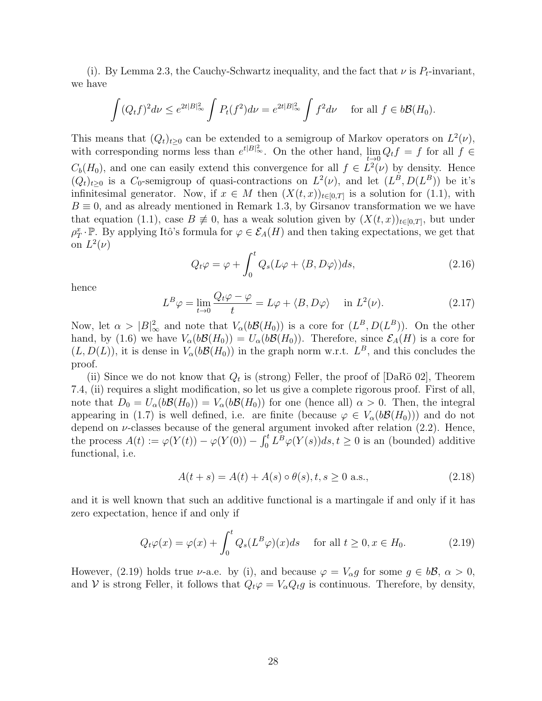(i). By Lemma 2.3, the Cauchy-Schwartz inequality, and the fact that  $\nu$  is  $P_t$ -invariant, we have

$$
\int (Q_t f)^2 d\nu \le e^{2t|B|_{\infty}^2} \int P_t (f^2) d\nu = e^{2t|B|_{\infty}^2} \int f^2 d\nu \quad \text{ for all } f \in b\mathcal{B}(H_0).
$$

This means that  $(Q_t)_{t\geq 0}$  can be extended to a semigroup of Markov operators on  $L^2(\nu)$ , with corresponding norms less than  $e^{t|B|_{\infty}^2}$ . On the other hand,  $\lim_{t\to 0} Q_t f = f$  for all  $f \in$  $C_b(H_0)$ , and one can easily extend this convergence for all  $f \in L^2(\nu)$  by density. Hence  $(Q_t)_{t\geq 0}$  is a  $C_0$ -semigroup of quasi-contractions on  $L^2(\nu)$ , and let  $(L^B, D(L^B))$  be it's infinitesimal generator. Now, if  $x \in M$  then  $(X(t, x))_{t \in [0,T]}$  is a solution for  $(1.1)$ , with  $B \equiv 0$ , and as already mentioned in Remark 1.3, by Girsanov transformation we we have that equation (1.1), case  $B \neq 0$ , has a weak solution given by  $(X(t,x))_{t\in[0,T]}$ , but under  $\rho_T^x \cdot \mathbb{P}$ . By applying Itô's formula for  $\varphi \in \mathcal{E}_A(H)$  and then taking expectations, we get that on  $L^2(\nu)$ 

$$
Q_t \varphi = \varphi + \int_0^t Q_s (L\varphi + \langle B, D\varphi \rangle) ds, \qquad (2.16)
$$

hence

$$
L^{B}\varphi = \lim_{t \to 0} \frac{Q_t \varphi - \varphi}{t} = L\varphi + \langle B, D\varphi \rangle \quad \text{in } L^{2}(\nu). \tag{2.17}
$$

Now, let  $\alpha > |B|^2_{\infty}$  and note that  $V_{\alpha}(b\mathcal{B}(H_0))$  is a core for  $(L^B, D(L^B))$ . On the other hand, by (1.6) we have  $V_{\alpha}(b\mathcal{B}(H_0)) = U_{\alpha}(b\mathcal{B}(H_0))$ . Therefore, since  $\mathcal{E}_A(H)$  is a core for  $(L, D(L))$ , it is dense in  $V_{\alpha}(b\mathcal{B}(H_0))$  in the graph norm w.r.t.  $L^B$ , and this concludes the proof.

(ii) Since we do not know that  $Q_t$  is (strong) Feller, the proof of [DaRö 02], Theorem 7.4, (ii) requires a slight modification, so let us give a complete rigorous proof. First of all, note that  $D_0 = U_\alpha(b\mathcal{B}(H_0)) = V_\alpha(b\mathcal{B}(H_0))$  for one (hence all)  $\alpha > 0$ . Then, the integral appearing in (1.7) is well defined, i.e. are finite (because  $\varphi \in V_{\alpha}(b\mathcal{B}(H_0))$ ) and do not depend on  $\nu$ -classes because of the general argument invoked after relation (2.2). Hence, the process  $A(t) := \varphi(Y(t)) - \varphi(Y(0)) - \int_0^t L^B \varphi(Y(s))ds, t \ge 0$  is an (bounded) additive functional, i.e.

$$
A(t+s) = A(t) + A(s) \circ \theta(s), t, s \ge 0 \text{ a.s.},
$$
\n(2.18)

and it is well known that such an additive functional is a martingale if and only if it has zero expectation, hence if and only if

$$
Q_t \varphi(x) = \varphi(x) + \int_0^t Q_s(L^B \varphi)(x) ds \quad \text{for all } t \ge 0, x \in H_0.
$$
 (2.19)

However, (2.19) holds true *ν*-a.e. by (i), and because  $\varphi = V_{\alpha}g$  for some  $g \in b\mathcal{B}, \alpha > 0$ , and V is strong Feller, it follows that  $Q_t\varphi = V_\alpha Q_t\varphi$  is continuous. Therefore, by density,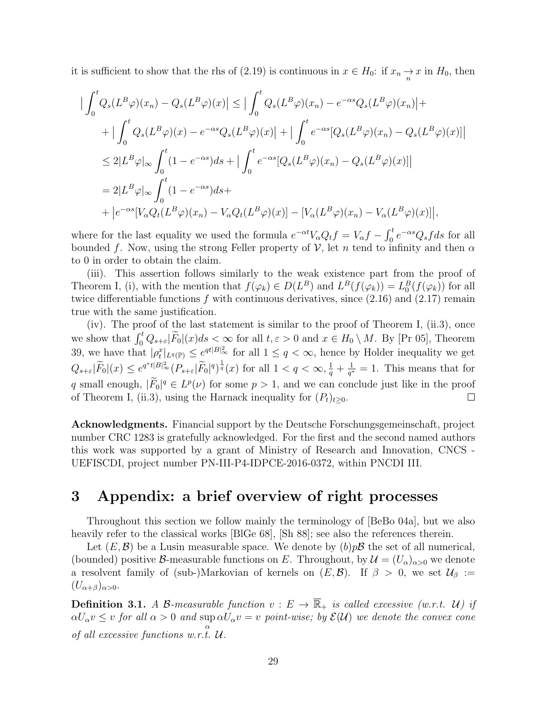it is sufficient to show that the rhs of (2.19) is continuous in  $x \in H_0$ : if  $x_n \to x$  in  $H_0$ , then

$$
\left| \int_0^t Q_s(L^B \varphi)(x_n) - Q_s(L^B \varphi)(x) \right| \le \left| \int_0^t Q_s(L^B \varphi)(x_n) - e^{-\alpha s} Q_s(L^B \varphi)(x_n) \right| +
$$
  
+ 
$$
\left| \int_0^t Q_s(L^B \varphi)(x) - e^{-\alpha s} Q_s(L^B \varphi)(x) \right| + \left| \int_0^t e^{-\alpha s} [Q_s(L^B \varphi)(x_n) - Q_s(L^B \varphi)(x)] \right|
$$
  

$$
\le 2|L^B \varphi|_{\infty} \int_0^t (1 - e^{-\alpha s}) ds + \left| \int_0^t e^{-\alpha s} [Q_s(L^B \varphi)(x_n) - Q_s(L^B \varphi)(x)] \right|
$$
  
= 
$$
2|L^B \varphi|_{\infty} \int_0^t (1 - e^{-\alpha s}) ds +
$$
  
+ 
$$
\left| e^{-\alpha s} [V_\alpha Q_t(L^B \varphi)(x_n) - V_\alpha Q_t(L^B \varphi)(x)] - [V_\alpha(L^B \varphi)(x_n) - V_\alpha(L^B \varphi)(x)] \right|,
$$

where for the last equality we used the formula  $e^{-\alpha t}V_\alpha Q_tf = V_\alpha f - \int_0^t e^{-\alpha s}Q_s f ds$  for all bounded f. Now, using the strong Feller property of  $\mathcal V$ , let n tend to infinity and then  $\alpha$ to 0 in order to obtain the claim.

(iii). This assertion follows similarly to the weak existence part from the proof of Theorem I, (i), with the mention that  $f(\varphi_k) \in D(L^B)$  and  $L^B(f(\varphi_k)) = L_0^B(f(\varphi_k))$  for all twice differentiable functions  $f$  with continuous derivatives, since  $(2.16)$  and  $(2.17)$  remain true with the same justification.

(iv). The proof of the last statement is similar to the proof of Theorem I, (ii.3), once we show that  $\int_0^t Q_{s+\varepsilon}|\widetilde{F}_0|(x)ds < \infty$  for all  $t, \varepsilon > 0$  and  $x \in H_0 \setminus M$ . By [Pr 05], Theorem 39, we have that  $|\rho_t^x|_{L^q(\mathbb{P})} \leq e^{qt|B|^2_{\infty}}$  for all  $1 \leq q < \infty$ , hence by Holder inequality we get  $Q_{s+\varepsilon}|\widetilde{F}_0|(x) \leq e^{q^*t|B|_\infty^2} (P_{s+\varepsilon}|\widetilde{F}_0|^q)^{\frac{1}{q}}(x)$  for all  $1 < q < \infty, \frac{1}{q} + \frac{1}{q^*}$  $\frac{1}{q^*} = 1$ . This means that for q small enough,  $|\overline{F}_0|^q \in L^p(\nu)$  for some  $p > 1$ , and we can conclude just like in the proof of Theorem I, (ii.3), using the Harnack inequality for  $(P_t)_{t>0}$ .  $\Box$ 

Acknowledgments. Financial support by the Deutsche Forschungsgemeinschaft, project number CRC 1283 is gratefully acknowledged. For the first and the second named authors this work was supported by a grant of Ministry of Research and Innovation, CNCS - UEFISCDI, project number PN-III-P4-IDPCE-2016-0372, within PNCDI III.

### 3 Appendix: a brief overview of right processes

Throughout this section we follow mainly the terminology of [BeBo 04a], but we also heavily refer to the classical works [BIGe 68], [Sh 88]; see also the references therein.

Let  $(E, \mathcal{B})$  be a Lusin measurable space. We denote by  $(b)p\mathcal{B}$  the set of all numerical, (bounded) positive B-measurable functions on E. Throughout, by  $\mathcal{U} = (U_{\alpha})_{\alpha>0}$  we denote a resolvent family of (sub-)Markovian of kernels on  $(E, \mathcal{B})$ . If  $\beta > 0$ , we set  $\mathcal{U}_{\beta} :=$  $(U_{\alpha+\beta})_{\alpha>0}.$ 

**Definition 3.1.** A B-measurable function  $v : E \to \overline{\mathbb{R}}_+$  is called excessive (w.r.t. U) if  $\alpha U_\alpha v \leq v$  for all  $\alpha > 0$  and  $\sup \alpha U_\alpha v = v$  point-wise; by  $\mathcal{E}(\mathcal{U})$  we denote the convex cone of all excessive functions w.r.t.  $\mathcal{U}$ .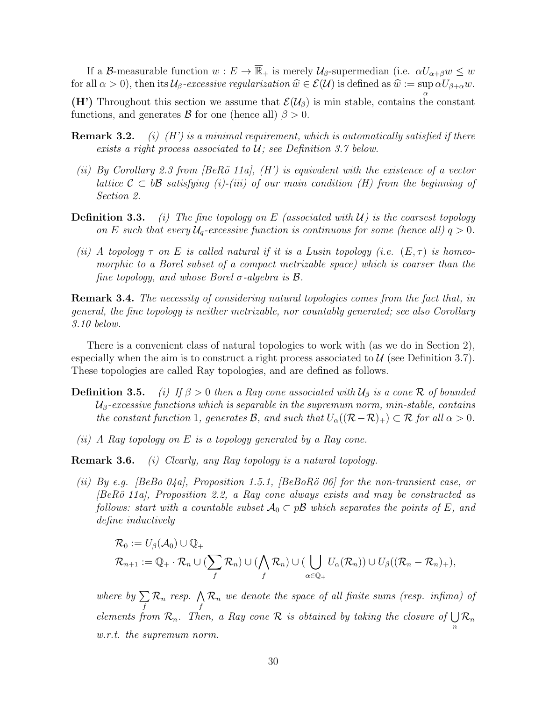If a B-measurable function  $w: E \to \overline{\mathbb{R}}_+$  is merely  $\mathcal{U}_{\beta}$ -supermedian (i.e.  $\alpha U_{\alpha+\beta}w \leq w$ for all  $\alpha > 0$ ), then its  $\mathcal{U}_{\beta}$ -excessive regularization  $\widehat{w} \in \mathcal{E}(\mathcal{U})$  is defined as  $\widehat{w} := \sup_{\alpha} \alpha U_{\beta + \alpha} w$ .

(H') Throughout this section we assume that  $\mathcal{E}(\mathcal{U}_{\beta})$  is min stable, contains the constant functions, and generates  $\mathcal{B}$  for one (hence all)  $\beta > 0$ .

- **Remark 3.2.** (i)  $(H')$  is a minimal requirement, which is automatically satisfied if there exists a right process associated to  $U$ ; see Definition 3.7 below.
- (ii) By Corollary 2.3 from  $\beta$ BeRö 11a,  $\beta$  is equivalent with the existence of a vector lattice  $\mathcal{C} \subset b\mathcal{B}$  satisfying (i)-(iii) of our main condition (H) from the beginning of Section 2.
- **Definition 3.3.** (i) The fine topology on E (associated with  $U$ ) is the coarsest topology on E such that every  $U_q$ -excessive function is continuous for some (hence all)  $q > 0$ .
- (ii) A topology  $\tau$  on E is called natural if it is a Lusin topology (i.e.  $(E,\tau)$  is homeomorphic to a Borel subset of a compact metrizable space) which is coarser than the fine topology, and whose Borel  $\sigma$ -algebra is  $\mathcal{B}$ .

**Remark 3.4.** The necessity of considering natural topologies comes from the fact that, in general, the fine topology is neither metrizable, nor countably generated; see also Corollary 3.10 below.

There is a convenient class of natural topologies to work with (as we do in Section 2), especially when the aim is to construct a right process associated to  $\mathcal{U}$  (see Definition 3.7). These topologies are called Ray topologies, and are defined as follows.

- **Definition 3.5.** (i) If  $\beta > 0$  then a Ray cone associated with  $\mathcal{U}_{\beta}$  is a cone R of bounded  $U_{\beta}$ -excessive functions which is separable in the supremum norm, min-stable, contains the constant function 1, generates B, and such that  $U_{\alpha}((\mathcal{R}-\mathcal{R})_{+}) \subset \mathcal{R}$  for all  $\alpha > 0$ .
- (ii) A Ray topology on E is a topology generated by a Ray cone.

Remark 3.6. (i) Clearly, any Ray topology is a natural topology.

(ii) By e.g. [BeBo 04a], Proposition 1.5.1, [BeBoRö 06] for the non-transient case, or  $[BeR\ddot{o} 11a]$ , Proposition 2.2, a Ray cone always exists and may be constructed as follows: start with a countable subset  $\mathcal{A}_0 \subset p\mathcal{B}$  which separates the points of E, and define inductively

$$
\mathcal{R}_0 := U_{\beta}(\mathcal{A}_0) \cup \mathbb{Q}_+ \mathcal{R}_{n+1} := \mathbb{Q}_+ \cdot \mathcal{R}_n \cup (\sum_f \mathcal{R}_n) \cup (\bigwedge_f \mathcal{R}_n) \cup (\bigcup_{\alpha \in \mathbb{Q}_+} U_{\alpha}(\mathcal{R}_n)) \cup U_{\beta}((\mathcal{R}_n - \mathcal{R}_n)_+),
$$

where by  $\sum$ f  $\mathcal{R}_n$  resp.  $\bigwedge$ f  $\mathcal{R}_n$  we denote the space of all finite sums (resp. infima) of elements from  $\mathcal{R}_n$ . Then, a Ray cone  $\mathcal R$  is obtained by taking the closure of  $\bigcup$ n  $\mathcal{R}_n$ w.r.t. the supremum norm.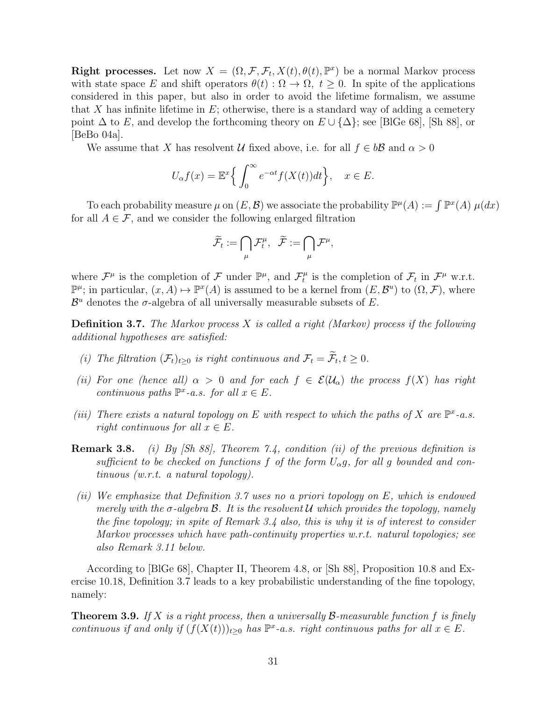**Right processes.** Let now  $X = (\Omega, \mathcal{F}, \mathcal{F}_t, X(t), \theta(t), \mathbb{P}^x)$  be a normal Markov process with state space E and shift operators  $\theta(t): \Omega \to \Omega$ ,  $t \geq 0$ . In spite of the applications considered in this paper, but also in order to avoid the lifetime formalism, we assume that X has infinite lifetime in  $E$ ; otherwise, there is a standard way of adding a cemetery point  $\Delta$  to E, and develop the forthcoming theory on  $E \cup {\Delta}$ ; see [BIGe 68], [Sh 88], or [BeBo 04a].

We assume that X has resolvent U fixed above, i.e. for all  $f \in b\mathcal{B}$  and  $\alpha > 0$ 

$$
U_{\alpha}f(x) = \mathbb{E}^{x} \Big\{ \int_{0}^{\infty} e^{-\alpha t} f(X(t)) dt \Big\}, \quad x \in E.
$$

To each probability measure  $\mu$  on  $(E, \mathcal{B})$  we associate the probability  $\mathbb{P}^{\mu}(A) := \int \mathbb{P}^{x}(A) \mu(dx)$ for all  $A \in \mathcal{F}$ , and we consider the following enlarged filtration

$$
\widetilde{\mathcal{F}}_t := \bigcap_{\mu} \mathcal{F}^{\mu}_t, \quad \widetilde{\mathcal{F}} := \bigcap_{\mu} \mathcal{F}^{\mu},
$$

where  $\mathcal{F}^{\mu}$  is the completion of  $\mathcal F$  under  $\mathbb{P}^{\mu}$ , and  $\mathcal{F}^{\mu}_t$  $\mathcal{F}_t^{\mu}$  is the completion of  $\mathcal{F}_t$  in  $\mathcal{F}^{\mu}$  w.r.t.  $\mathbb{P}^{\mu}$ ; in particular,  $(x, A) \mapsto \mathbb{P}^{x}(A)$  is assumed to be a kernel from  $(E, \mathcal{B}^{u})$  to  $(\Omega, \mathcal{F})$ , where  $\mathcal{B}^u$  denotes the  $\sigma$ -algebra of all universally measurable subsets of E.

**Definition 3.7.** The Markov process X is called a right (Markov) process if the following additional hypotheses are satisfied:

- (i) The filtration  $(\mathcal{F}_t)_{t\geq 0}$  is right continuous and  $\mathcal{F}_t = \mathcal{F}_t, t \geq 0$ .
- (ii) For one (hence all)  $\alpha > 0$  and for each  $f \in \mathcal{E}(\mathcal{U}_{\alpha})$  the process  $f(X)$  has right continuous paths  $\mathbb{P}^x$ -a.s. for all  $x \in E$ .
- (iii) There exists a natural topology on E with respect to which the paths of X are  $\mathbb{P}^{x}$ -a.s. right continuous for all  $x \in E$ .
- **Remark 3.8.** (i) By [Sh 88], Theorem 7.4, condition (ii) of the previous definition is sufficient to be checked on functions f of the form  $U_{\alpha}g$ , for all g bounded and continuous (w.r.t. a natural topology).
- (ii) We emphasize that Definition 3.7 uses no a priori topology on E, which is endowed merely with the  $\sigma$ -algebra  $\mathcal B$ . It is the resolvent  $\mathcal U$  which provides the topology, namely the fine topology; in spite of Remark 3.4 also, this is why it is of interest to consider Markov processes which have path-continuity properties w.r.t. natural topologies; see also Remark 3.11 below.

According to [BlGe 68], Chapter II, Theorem 4.8, or [Sh 88], Proposition 10.8 and Exercise 10.18, Definition 3.7 leads to a key probabilistic understanding of the fine topology, namely:

**Theorem 3.9.** If X is a right process, then a universally B-measurable function f is finely continuous if and only if  $(f(X(t)))_{t\geq0}$  has  $\mathbb{P}^x$ -a.s. right continuous paths for all  $x \in E$ .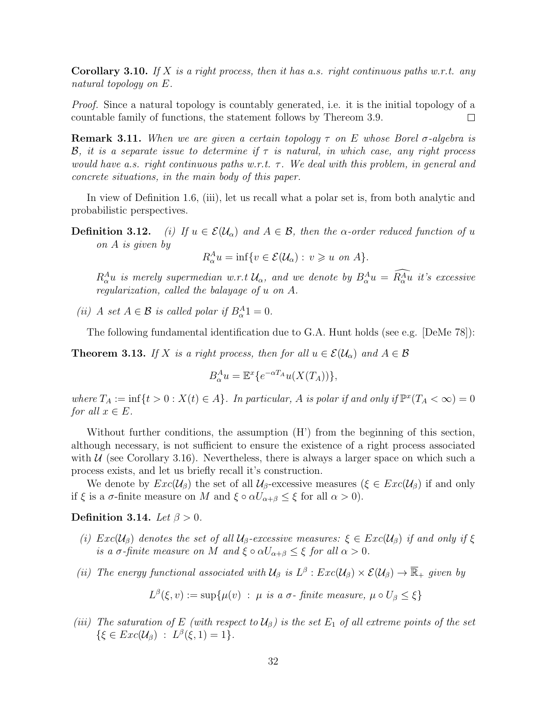**Corollary 3.10.** If X is a right process, then it has a.s. right continuous paths w.r.t. any natural topology on E.

*Proof.* Since a natural topology is countably generated, i.e. it is the initial topology of a countable family of functions, the statement follows by Thereom 3.9.  $\Box$ 

**Remark 3.11.** When we are given a certain topology  $\tau$  on E whose Borel  $\sigma$ -algebra is **B**, it is a separate issue to determine if  $\tau$  is natural, in which case, any right process would have a.s. right continuous paths w.r.t.  $\tau$ . We deal with this problem, in general and concrete situations, in the main body of this paper.

In view of Definition 1.6, (iii), let us recall what a polar set is, from both analytic and probabilistic perspectives.

**Definition 3.12.** (i) If  $u \in \mathcal{E}(\mathcal{U}_{\alpha})$  and  $A \in \mathcal{B}$ , then the  $\alpha$ -order reduced function of u on A is given by

 $R_{\alpha}^{A}u = \inf \{ v \in \mathcal{E}(\mathcal{U}_{\alpha}) : v \geqslant u \text{ on } A \}.$ 

 $R^A_{\alpha}u$  is merely supermedian w.r.t  $\mathcal{U}_{\alpha}$ , and we denote by  $B^A_{\alpha}u = R^A_{\alpha}u$  it's excessive regularization, called the balayage of u on A.

(ii) A set  $A \in \mathcal{B}$  is called polar if  $B_{\alpha}^{A}1 = 0$ .

The following fundamental identification due to G.A. Hunt holds (see e.g. [DeMe 78]):

**Theorem 3.13.** If X is a right process, then for all  $u \in \mathcal{E}(\mathcal{U}_{\alpha})$  and  $A \in \mathcal{B}$ 

$$
B_{\alpha}^{A}u = \mathbb{E}^{x}\lbrace e^{-\alpha T_{A}}u(X(T_{A}))\rbrace,
$$

where  $T_A := \inf\{t > 0 : X(t) \in A\}$ . In particular, A is polar if and only if  $\mathbb{P}^x(T_A < \infty) = 0$ for all  $x \in E$ .

Without further conditions, the assumption  $(H')$  from the beginning of this section, although necessary, is not sufficient to ensure the existence of a right process associated with  $U$  (see Corollary 3.16). Nevertheless, there is always a larger space on which such a process exists, and let us briefly recall it's construction.

We denote by  $Exc(\mathcal{U}_{\beta})$  the set of all  $\mathcal{U}_{\beta}$ -excessive measures ( $\xi \in Exc(\mathcal{U}_{\beta})$  if and only if  $\xi$  is a  $\sigma$ -finite measure on M and  $\xi \circ \alpha U_{\alpha+\beta} \leq \xi$  for all  $\alpha > 0$ ).

Definition 3.14. Let  $\beta > 0$ .

- (i)  $Exc(\mathcal{U}_\beta)$  denotes the set of all  $\mathcal{U}_\beta$ -excessive measures:  $\xi \in Exc(\mathcal{U}_\beta)$  if and only if  $\xi$ is a  $\sigma$ -finite measure on M and  $\xi \circ \alpha U_{\alpha+\beta} \leq \xi$  for all  $\alpha > 0$ .
- (ii) The energy functional associated with  $\mathcal{U}_{\beta}$  is  $L^{\beta}$  :  $Exc(\mathcal{U}_{\beta}) \times \mathcal{E}(\mathcal{U}_{\beta}) \to \overline{\mathbb{R}}_{+}$  given by

$$
L^{\beta}(\xi, v) := \sup \{ \mu(v) \ : \ \mu \ \text{is a } \sigma \text{- finite measure, } \mu \circ U_{\beta} \leq \xi \}
$$

(iii) The saturation of E (with respect to  $\mathcal{U}_{\beta}$ ) is the set  $E_1$  of all extreme points of the set  $\{\xi \in Exc(\mathcal{U}_{\beta}) \ : \ L^{\beta}(\xi,1)=1\}.$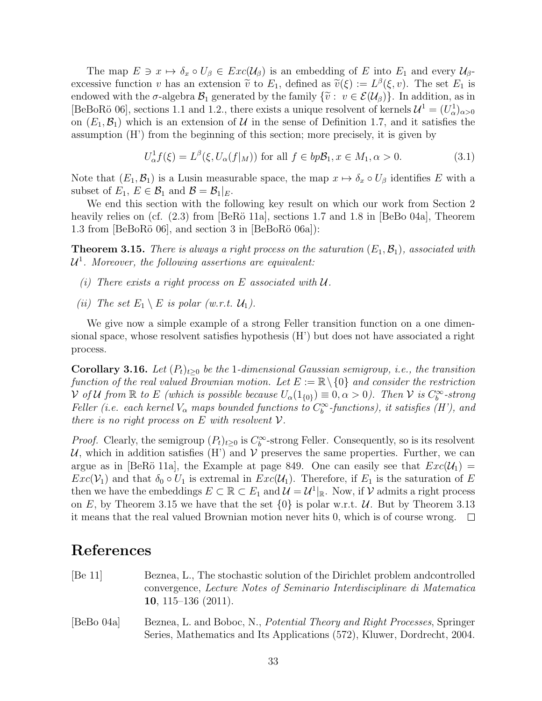The map  $E \ni x \mapsto \delta_x \circ U_\beta \in Exc(\mathcal{U}_\beta)$  is an embedding of E into  $E_1$  and every  $\mathcal{U}_\beta$ excessive function v has an extension  $\tilde{v}$  to  $E_1$ , defined as  $\tilde{v}(\xi) := L^{\beta}(\xi, v)$ . The set  $E_1$  is ordered with the  $\tau$  algebra  $\mathcal{B}$ , concreted by the family  $\{\tilde{v} : v \in \mathcal{E}(U_1)\}$ . In addition, as in endowed with the  $\sigma$ -algebra  $\mathcal{B}_1$  generated by the family  $\{\tilde{v}: v \in \mathcal{E}(\mathcal{U}_{\beta})\}$ . In addition, as in [BeBoRö 06], sections 1.1 and 1.2., there exists a unique resolvent of kernels  $\mathcal{U}^1 = (U^1_\alpha)_{\alpha>0}$ on  $(E_1, \mathcal{B}_1)$  which is an extension of U in the sense of Definition 1.7, and it satisfies the assumption (H') from the beginning of this section; more precisely, it is given by

$$
U_{\alpha}^{1}f(\xi) = L^{\beta}(\xi, U_{\alpha}(f|_{M})) \text{ for all } f \in bp\mathcal{B}_{1}, x \in M_{1}, \alpha > 0.
$$
 (3.1)

Note that  $(E_1, \mathcal{B}_1)$  is a Lusin measurable space, the map  $x \mapsto \delta_x \circ U_\beta$  identifies E with a subset of  $E_1, E \in \mathcal{B}_1$  and  $\mathcal{B} = \mathcal{B}_1|_E$ .

We end this section with the following key result on which our work from Section 2 heavily relies on (cf.  $(2.3)$  from [BeRö 11a], sections 1.7 and 1.8 in [BeBo 04a], Theorem 1.3 from [BeBoRö 06], and section 3 in [BeBoRö 06a]):

**Theorem 3.15.** There is always a right process on the saturation  $(E_1, \mathcal{B}_1)$ , associated with  $\mathcal{U}^1$ . Moreover, the following assertions are equivalent:

- (i) There exists a right process on E associated with  $U$ .
- (ii) The set  $E_1 \setminus E$  is polar (w.r.t.  $\mathcal{U}_1$ ).

We give now a simple example of a strong Feller transition function on a one dimensional space, whose resolvent satisfies hypothesis (H') but does not have associated a right process.

**Corollary 3.16.** Let  $(P_t)_{t>0}$  be the 1-dimensional Gaussian semigroup, i.e., the transition function of the real valued Brownian motion. Let  $E := \mathbb{R} \setminus \{0\}$  and consider the restriction  $\mathcal V$  of U from  $\mathbb R$  to E (which is possible because  $U_\alpha(1_{\{0\}}) \equiv 0, \alpha > 0$ ). Then  $\mathcal V$  is  $C_b^\infty$ -strong Feller (i.e. each kernel  $V_{\alpha}$  maps bounded functions to  $C_b^{\infty}$ -functions), it satisfies (H'), and there is no right process on E with resolvent  $\mathcal V$ .

*Proof.* Clearly, the semigroup  $(P_t)_{t\geq 0}$  is  $C_b^{\infty}$ -strong Feller. Consequently, so is its resolvent U, which in addition satisfies  $(H')$  and V preserves the same properties. Further, we can argue as in [BeRö 11a], the Example at page 849. One can easily see that  $Exc(\mathcal{U}_1)$  =  $Exc(V_1)$  and that  $\delta_0 \circ U_1$  is extremal in  $Exc(U_1)$ . Therefore, if  $E_1$  is the saturation of E then we have the embeddings  $E \subset \mathbb{R} \subset E_1$  and  $\mathcal{U} = \mathcal{U}^1|_{\mathbb{R}}$ . Now, if  $\mathcal{V}$  admits a right process on E, by Theorem 3.15 we have that the set  $\{0\}$  is polar w.r.t. U. But by Theorem 3.13 it means that the real valued Brownian motion never hits 0, which is of course wrong.  $\square$ 

# References

- [Be 11] Beznea, L., The stochastic solution of the Dirichlet problem andcontrolled convergence, Lecture Notes of Seminario Interdisciplinare di Matematica 10, 115–136 (2011).
- [BeBo 04a] Beznea, L. and Boboc, N., *Potential Theory and Right Processes*, Springer Series, Mathematics and Its Applications (572), Kluwer, Dordrecht, 2004.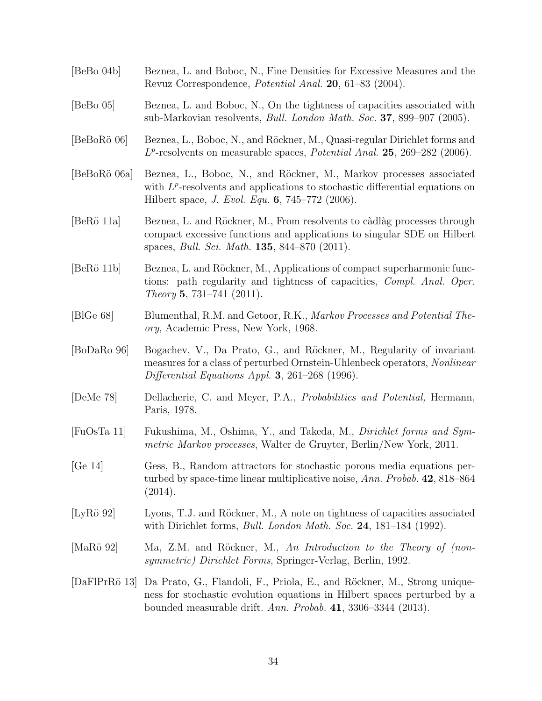[BeBo 04b] Beznea, L. and Boboc, N., Fine Densities for Excessive Measures and the Revuz Correspondence, Potential Anal. 20, 61–83 (2004). [BeBo 05] Beznea, L. and Boboc, N., On the tightness of capacities associated with sub-Markovian resolvents, Bull. London Math. Soc. 37, 899–907 (2005). [BeBoRö 06] Beznea, L., Boboc, N., and Röckner, M., Quasi-regular Dirichlet forms and  $L^p$ -resolvents on measurable spaces, *Potential Anal.* **25**, 269–282 (2006). [BeBoR¨o 06a] Beznea, L., Boboc, N., and R¨ockner, M., Markov processes associated with  $L^p$ -resolvents and applications to stochastic differential equations on Hilbert space, J. Evol. Equ. 6, 745–772 (2006). [BeRö 11a] Beznea, L. and Röckner, M., From resolvents to càdlàg processes through compact excessive functions and applications to singular SDE on Hilbert spaces, Bull. Sci. Math. 135, 844–870 (2011). [BeRö 11b] Beznea, L. and Röckner, M., Applications of compact superharmonic functions: path regularity and tightness of capacities, Compl. Anal. Oper. Theory 5, 731–741 (2011). [BlGe 68] Blumenthal, R.M. and Getoor, R.K., Markov Processes and Potential Theory, Academic Press, New York, 1968. [BoDaRo 96] Bogachev, V., Da Prato, G., and Röckner, M., Regularity of invariant measures for a class of perturbed Ornstein-Uhlenbeck operators, Nonlinear Differential Equations Appl. 3, 261–268 (1996). [DeMe 78] Dellacherie, C. and Meyer, P.A., Probabilities and Potential, Hermann, Paris, 1978. [FuOsTa 11] Fukushima, M., Oshima, Y., and Takeda, M., Dirichlet forms and Symmetric Markov processes, Walter de Gruyter, Berlin/New York, 2011. [Ge 14] Gess, B., Random attractors for stochastic porous media equations perturbed by space-time linear multiplicative noise, Ann. Probab. 42, 818–864 (2014). [LyRö 92] Lyons, T.J. and Röckner, M., A note on tightness of capacities associated with Dirichlet forms, *Bull. London Math. Soc.* **24**, 181–184 (1992). [MaRö 92] Ma, Z.M. and Röckner, M., An Introduction to the Theory of (nonsymmetric) Dirichlet Forms, Springer-Verlag, Berlin, 1992. [DaFlPrRö 13] Da Prato, G., Flandoli, F., Priola, E., and Röckner, M., Strong uniqueness for stochastic evolution equations in Hilbert spaces perturbed by a bounded measurable drift. Ann. Probab. 41, 3306–3344 (2013).